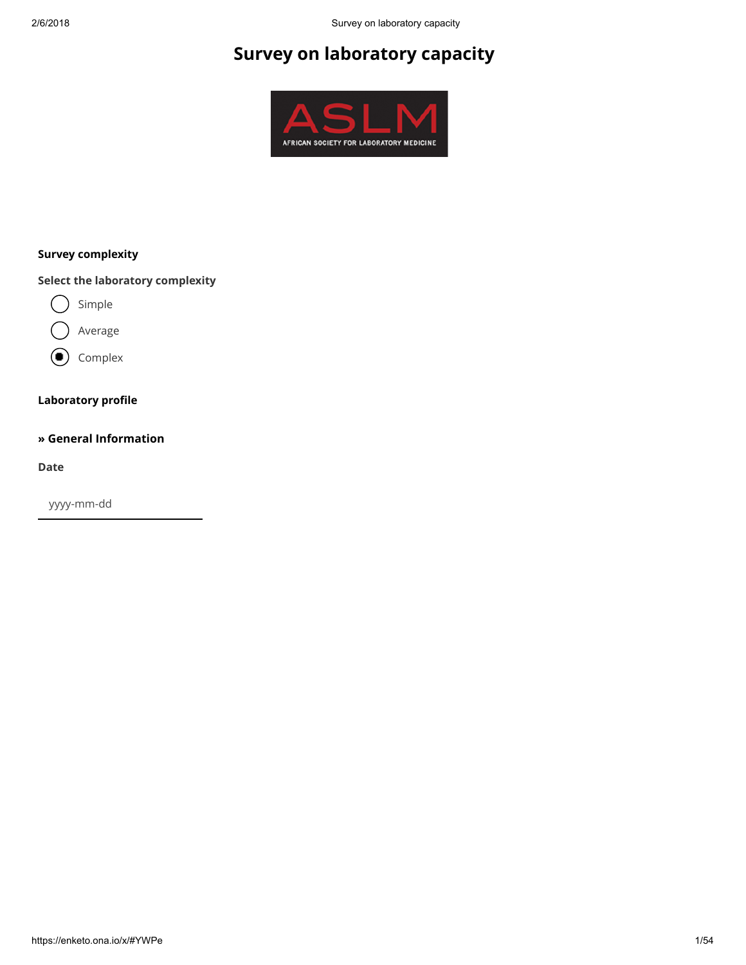# Survey on laboratory capacity



## Survey complexity

Select the laboratory complexity



- Average
- (● Complex

#### Laboratory profile

#### » General Information

Date

yyyy-mm-dd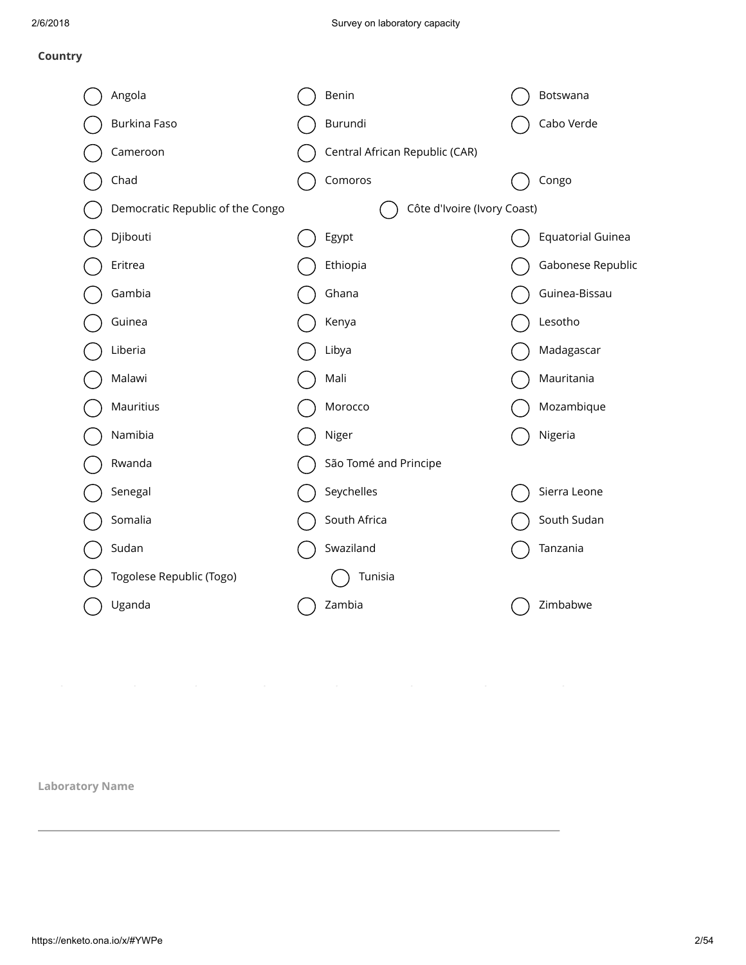## Country

| Angola                           | Benin                          | Botswana                 |
|----------------------------------|--------------------------------|--------------------------|
| Burkina Faso                     | Burundi                        | Cabo Verde               |
| Cameroon                         | Central African Republic (CAR) |                          |
| Chad                             | Comoros                        | Congo                    |
| Democratic Republic of the Congo | Côte d'Ivoire (Ivory Coast)    |                          |
| Djibouti                         | Egypt                          | <b>Equatorial Guinea</b> |
| Eritrea                          | Ethiopia                       | Gabonese Republic        |
| Gambia                           | Ghana                          | Guinea-Bissau            |
| Guinea                           | Kenya                          | Lesotho                  |
| Liberia                          | Libya                          | Madagascar               |
| Malawi                           | Mali                           | Mauritania               |
| Mauritius                        | Morocco                        | Mozambique               |
| Namibia                          | Niger                          | Nigeria                  |
| Rwanda                           | São Tomé and Principe          |                          |
| Senegal                          | Seychelles                     | Sierra Leone             |
| Somalia                          | South Africa                   | South Sudan              |
| Sudan                            | Swaziland                      | Tanzania                 |
| Togolese Republic (Togo)         | Tunisia                        |                          |
| Uganda                           | Zambia                         | Zimbabwe                 |

Laboratory Name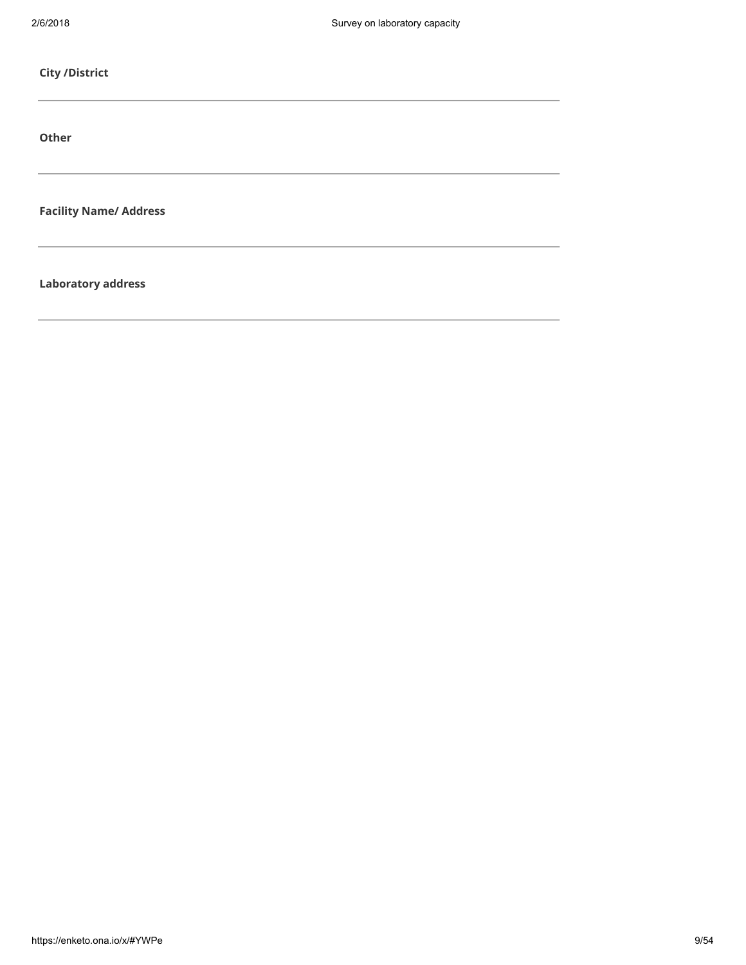| <b>City /District</b>         |  |  |
|-------------------------------|--|--|
| Other                         |  |  |
| <b>Facility Name/ Address</b> |  |  |
| <b>Laboratory address</b>     |  |  |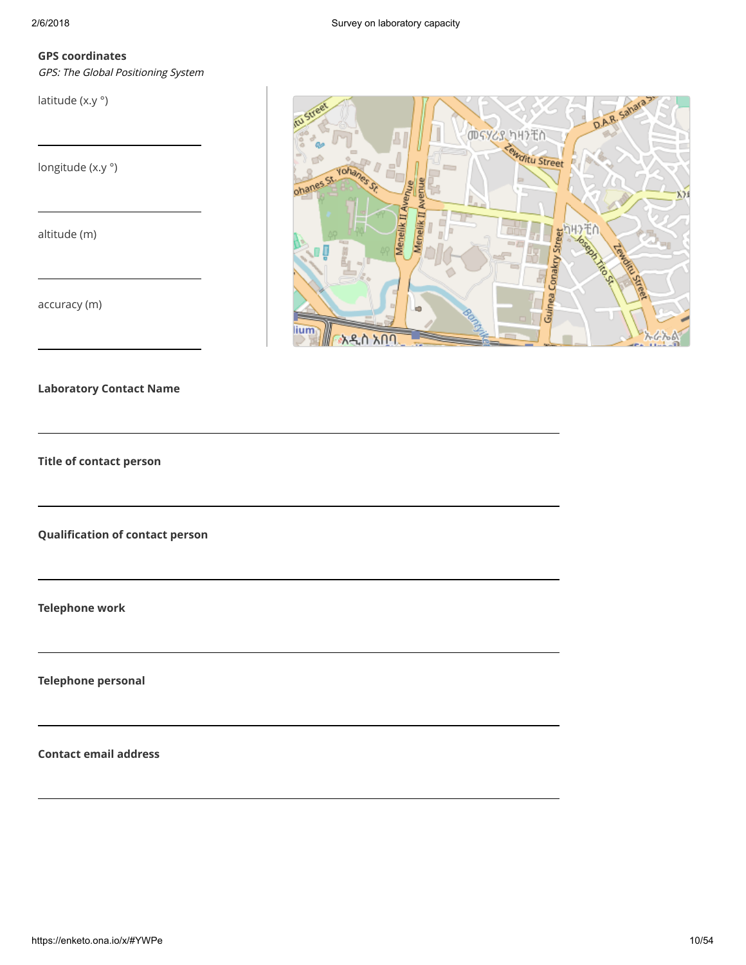#### GPS coordinates

GPS: The Global Positioning System

latitude (x.y °)

longitude (x.y °)

altitude (m)

accuracy (m)



Laboratory Contact Name

Title of contact person

Qualification of contact person

Telephone work

Telephone personal

Contact email address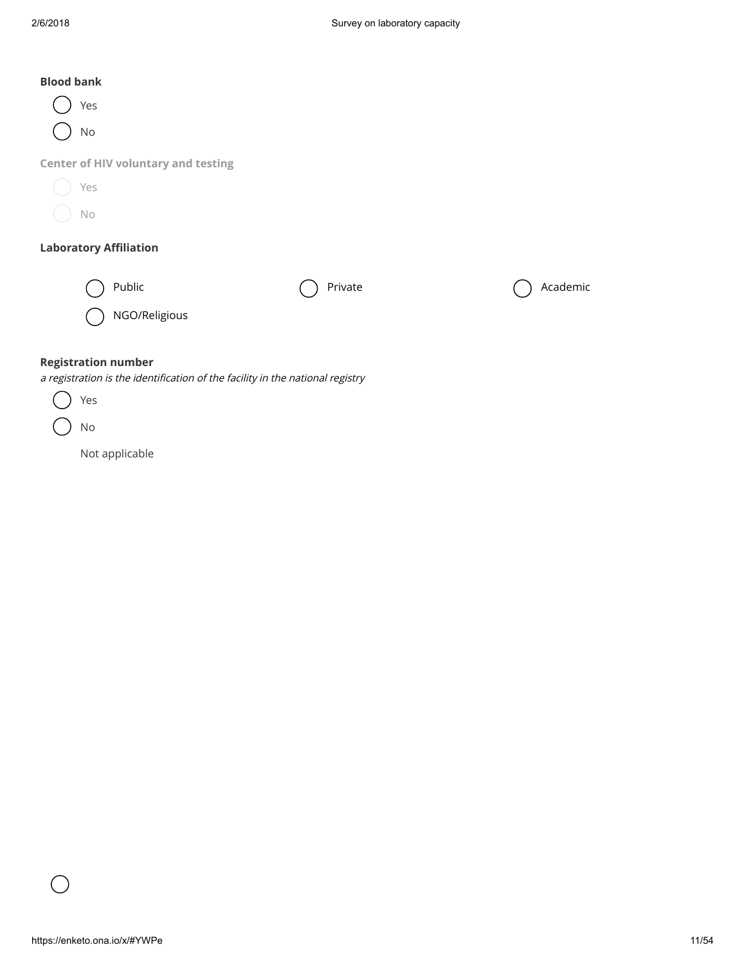## Blood bank



Center of HIV voluntary and testing

| Yes |
|-----|
| Νo  |

#### Laboratory Affiliation

| Public |  |
|--------|--|
|        |  |

Private  $\bigcap$  Academic

NGO/Religious

## Registration number

a registration is the identification of the facility in the national registry

No

Not applicable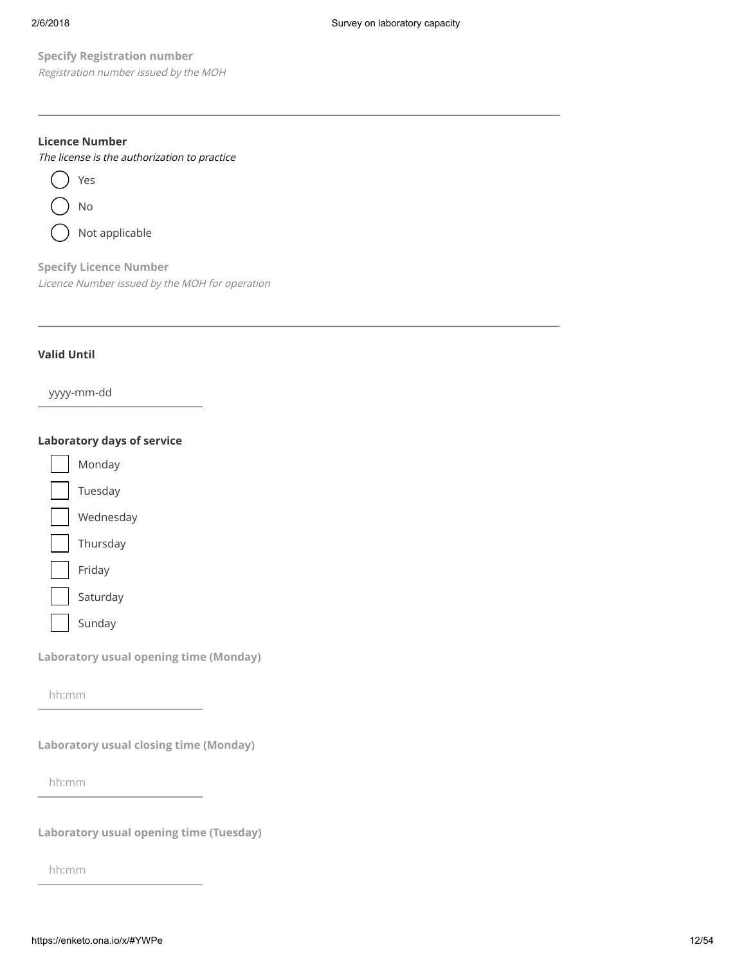Registration number issued by the MOH

#### Licence Number



Specify Licence Number Licence Number issued by the MOH for operation

#### Valid Until

yyyy-mm-dd

#### Laboratory days of service

Specify Registration number<br>  $\theta$ <sub>registration</sub> number<br> **https://enketo.org/specifically.**<br>  $\bigcirc$  both properlies<br>  $\bigcirc$  both properlies<br>  $\bigcirc$  both properlies<br>  $\bigcirc$  both properlies<br>  $\bigcirc$  both properlies<br>  $\bigcirc$  both pro Monday Tuesday Wednesday Thursday Friday Saturday Sunday

Laboratory usual opening time (Monday)

hh:mm

Laboratory usual closing time (Monday)

hh:mm

Laboratory usual opening time (Tuesday)

hh:mm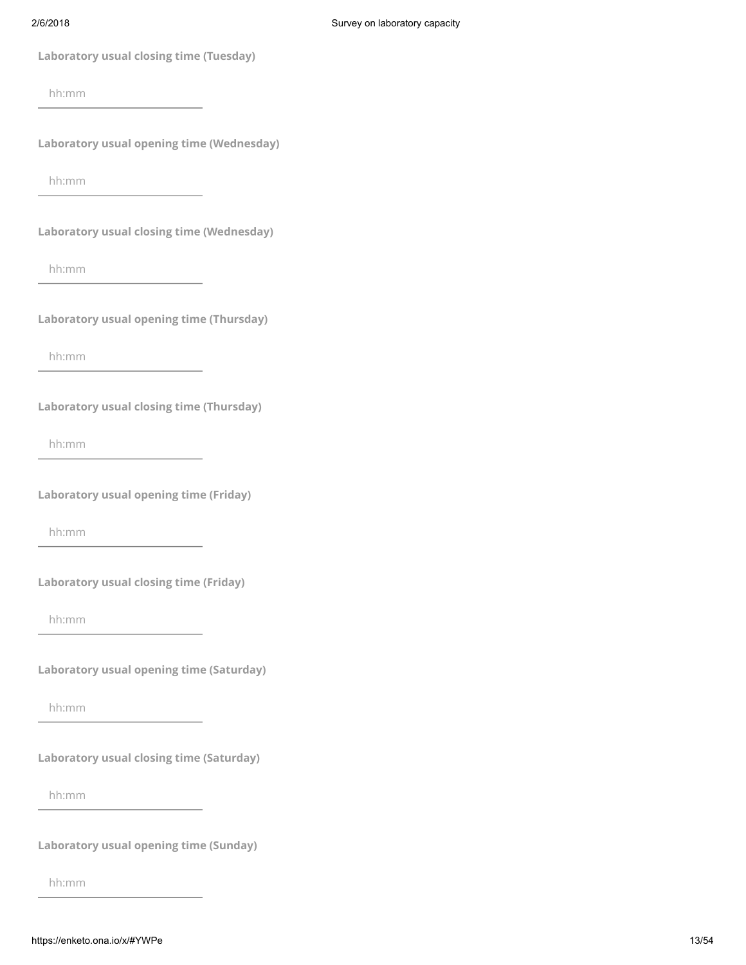| Laboratory usual closing time (Tuesday)         |       |
|-------------------------------------------------|-------|
| hh:mm                                           |       |
| Laboratory usual opening time (Wednesday)       |       |
| hh:mm                                           |       |
| Laboratory usual closing time (Wednesday)       |       |
| hh:mm                                           |       |
| Laboratory usual opening time (Thursday)        |       |
| hh:mm                                           |       |
| <b>Laboratory usual closing time (Thursday)</b> |       |
| hh:mm                                           |       |
| <b>Laboratory usual opening time (Friday)</b>   |       |
| hh:mm                                           |       |
| <b>Laboratory usual closing time (Friday)</b>   |       |
| hh:mm                                           |       |
| <b>Laboratory usual opening time (Saturday)</b> |       |
| hh:mm                                           |       |
| <b>Laboratory usual closing time (Saturday)</b> |       |
| hh:mm                                           |       |
| <b>Laboratory usual opening time (Sunday)</b>   |       |
| hh:mm                                           |       |
| https://enketo.ona.io/x/#YWPe                   | 13/54 |
|                                                 |       |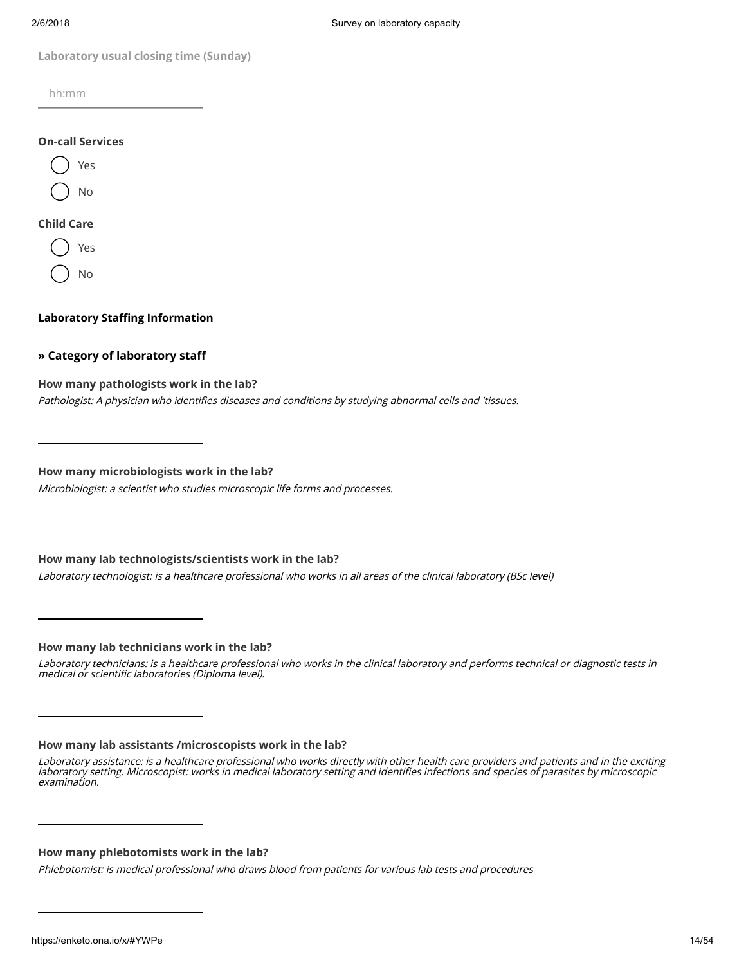hh:mm

#### On-call Services



#### Child Care

Yes No

#### Laboratory Staffing Information

#### » Category of laboratory staff

#### How many pathologists work in the lab?

Pathologist: A physician who identifies diseases and conditions by studying abnormal cells and 'tissues.

How many microbiologists work in the lab?

Microbiologist: a scientist who studies microscopic life forms and processes.

How many lab technologists/scientists work in the lab?

Laboratory technologist: is a healthcare professional who works in all areas of the clinical laboratory (BSc level)

How many lab technicians work in the lab?

Laboratory technicians: is a healthcare professional who works in the clinical laboratory and performs technical or diagnostic tests in medical or scientific laboratories (Diploma level).

#### How many lab assistants /microscopists work in the lab?

#### How many phlebotomists work in the lab?

Phlebotomist: is medical professional who draws blood from patients for various lab tests and procedures

Laboratory usual disting time (sunday)<br>
https://en.<br>  $\bigcirc$  Ye.<br>  $\bigcirc$  Ye.<br>  $\bigcirc$  Ye.<br>  $\bigcirc$  Ye.<br>  $\bigcirc$  Ye.<br>  $\bigcirc$  Ye.<br>  $\bigcirc$  Ye.<br>  $\bigcirc$  Ye.<br>  $\bigcirc$  Ye.<br>  $\bigcirc$  Ye.<br>  $\bigcirc$  Ye.<br>  $\bigcirc$  Ye.<br>  $\bigcirc$  Ye.<br>  $\bigcirc$  Ye.<br>  $\bigcirc$  Ye.<br>  $\big$ Laboratory assistance: is a healthcare professional who works directly with other health care providers and patients and in the exciting laboratory setting. Microscopist: works in medical laboratory setting and identifies infections and species of parasites by microscopic examination.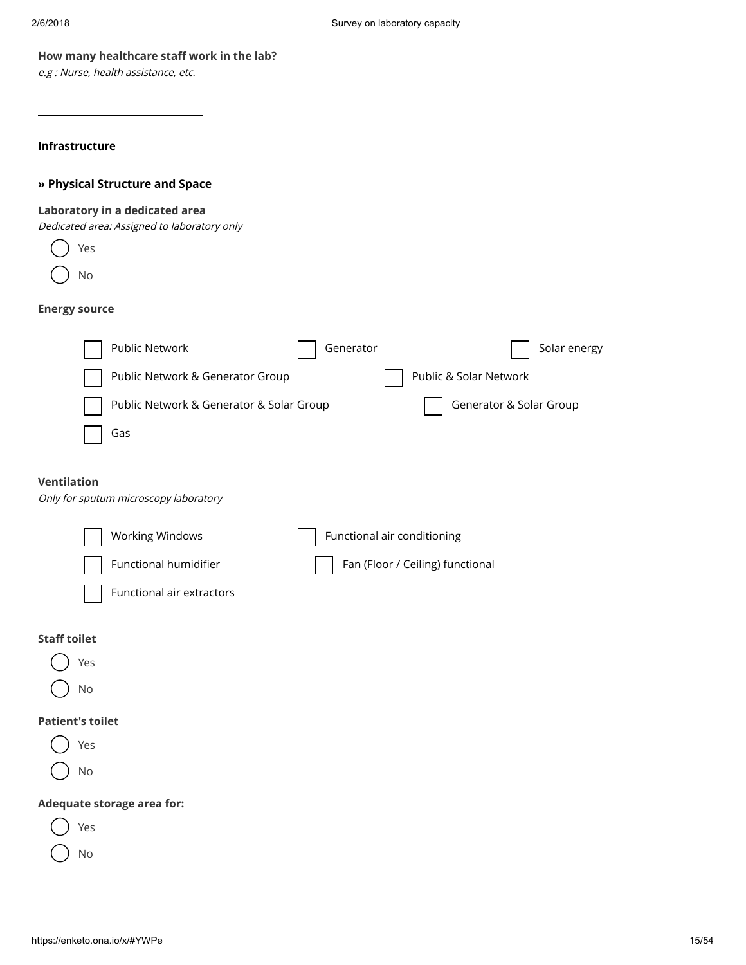#### How many healthcare staff work in the lab?

e.g : Nurse, health assistance, etc.

#### Infrastructure

#### » Physical Structure and Space

#### Laboratory in a dedicated area

Dedicated area: Assigned to laboratory only

Yes No

#### Energy source

|     | Public Network                           | Generator |                        | Solar energy            |
|-----|------------------------------------------|-----------|------------------------|-------------------------|
|     | Public Network & Generator Group         |           | Public & Solar Network |                         |
|     | Public Network & Generator & Solar Group |           |                        | Generator & Solar Group |
| Gas |                                          |           |                        |                         |
|     |                                          |           |                        |                         |

## Ventilation

Only for sputum microscopy laboratory

| Working Windows                  | $\Box$ Functional air conditioning |
|----------------------------------|------------------------------------|
| Functional humidifier            | Fan (Floor / Ceiling) functional   |
| $\Box$ Functional air extractors |                                    |

## Staff toilet



#### Patient's toilet

- Yes
- No

## Adequate storage area for:



No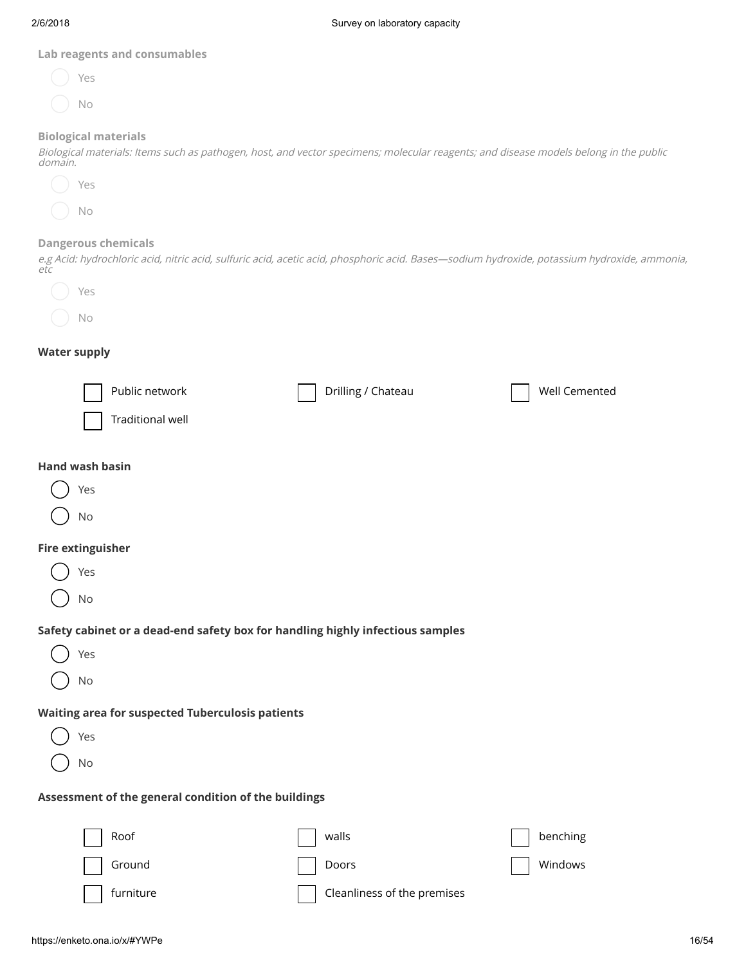#### Lab reagents and consumables

| Yes |  |  |
|-----|--|--|
| No  |  |  |

#### Biological materials

Biological materials: Items such as pathogen, host, and vector specimens; molecular reagents; and disease models belong in the public domain.



#### Dangerous chemicals

e.g Acid: hydrochloric acid, nitric acid, sulfuric acid, acetic acid, phosphoric acid. Bases—sodium hydroxide, potassium hydroxide, ammonia, etc



## Water supply

| Public network<br><b>Traditional well</b>                                                   | Drilling / Chateau                            | Well Cemented       |
|---------------------------------------------------------------------------------------------|-----------------------------------------------|---------------------|
| <b>Hand wash basin</b><br>Yes<br>No                                                         |                                               |                     |
| <b>Fire extinguisher</b><br>Yes<br>No                                                       |                                               |                     |
| Safety cabinet or a dead-end safety box for handling highly infectious samples<br>Yes<br>No |                                               |                     |
| <b>Waiting area for suspected Tuberculosis patients</b><br>Yes<br><b>No</b>                 |                                               |                     |
| Assessment of the general condition of the buildings                                        |                                               |                     |
| Roof<br>Ground<br>furniture                                                                 | walls<br>Doors<br>Cleanliness of the premises | benching<br>Windows |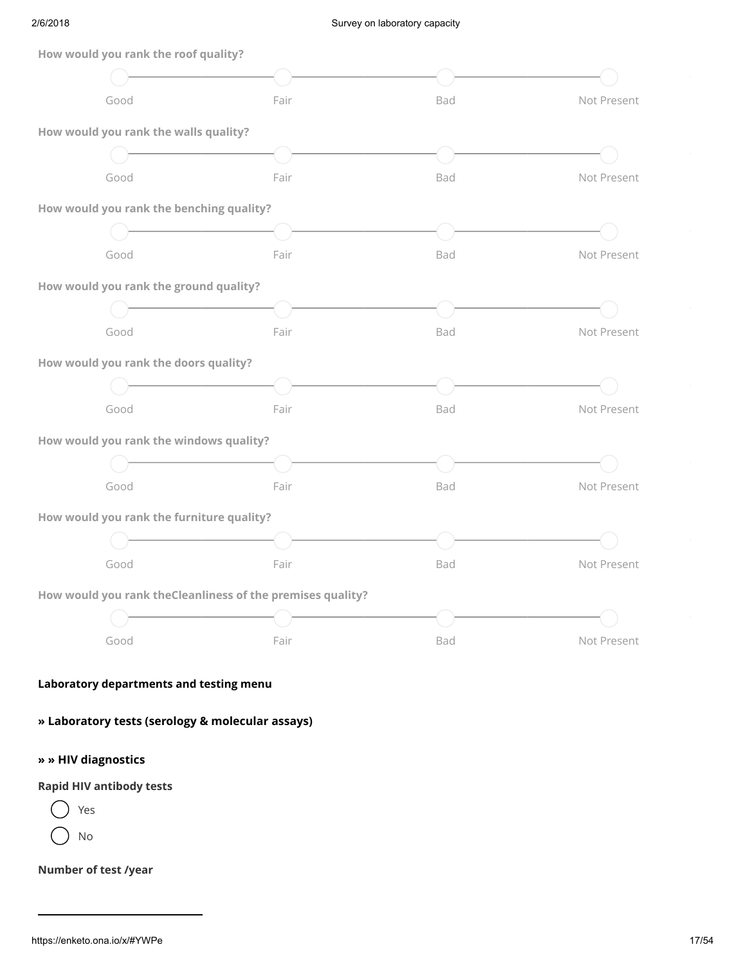| How would you rank the roof quality?             |                                                                                     |     |             |
|--------------------------------------------------|-------------------------------------------------------------------------------------|-----|-------------|
|                                                  |                                                                                     |     |             |
| Good                                             | Fair                                                                                | Bad | Not Present |
| How would you rank the walls quality?            |                                                                                     |     |             |
|                                                  | <u> 1980 - Johann Barbara, martxa a</u>                                             |     |             |
| Good                                             | Fair                                                                                | Bad | Not Present |
| How would you rank the benching quality?         |                                                                                     |     |             |
|                                                  | $\overline{\phantom{a}}$ . The contract of the contract of $\overline{\phantom{a}}$ |     |             |
| Good                                             | Fair                                                                                | Bad | Not Present |
| How would you rank the ground quality?           |                                                                                     |     |             |
|                                                  |                                                                                     |     |             |
| Good                                             | Fair                                                                                | Bad | Not Present |
| How would you rank the doors quality?            |                                                                                     |     |             |
|                                                  | <u> 1980 - Johann Barn, mars an t-Amerikaansk ferske</u>                            |     |             |
| Good                                             | Fair                                                                                | Bad | Not Present |
| How would you rank the windows quality?          |                                                                                     |     |             |
|                                                  |                                                                                     |     |             |
| Good                                             | Fair                                                                                | Bad | Not Present |
| How would you rank the furniture quality?        |                                                                                     |     |             |
|                                                  | <b>Contract Contract Contract</b>                                                   |     |             |
| Good                                             | Fair                                                                                | Bad | Not Present |
|                                                  | How would you rank theCleanliness of the premises quality?                          |     |             |
|                                                  |                                                                                     |     |             |
| Good                                             | Fair                                                                                | Bad | Not Present |
|                                                  |                                                                                     |     |             |
| Laboratory departments and testing menu          |                                                                                     |     |             |
| » Laboratory tests (serology & molecular assays) |                                                                                     |     |             |
|                                                  |                                                                                     |     |             |
| » » HIV diagnostics                              |                                                                                     |     |             |
| <b>Rapid HIV antibody tests</b>                  |                                                                                     |     |             |
| Yes                                              |                                                                                     |     |             |
| No                                               |                                                                                     |     |             |
| Number of test /year                             |                                                                                     |     |             |
|                                                  |                                                                                     |     |             |
|                                                  |                                                                                     |     |             |
| https://enketo.ona.io/x/#YWPe                    |                                                                                     |     | 17/54       |

## Laboratory departments and testing menu

## » » HIV diagnostics

## Rapid HIV antibody tests



## Number of test /year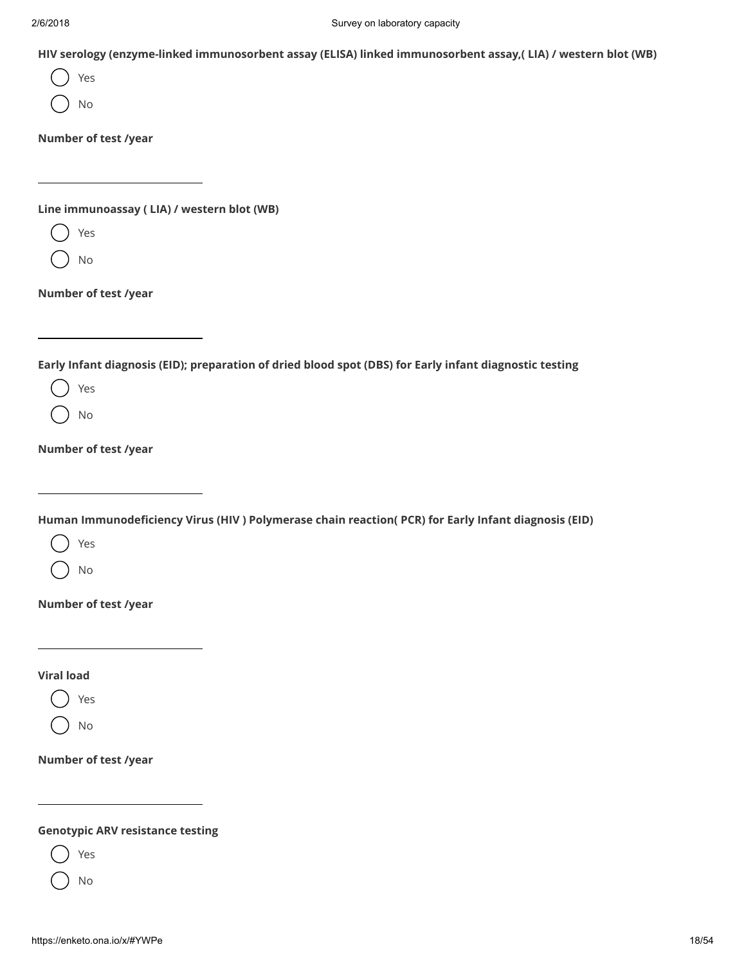HIV serology (enzyme-linked immunosorbent assay (ELISA) linked immunosorbent assay,( LIA) / western blot (WB)

Yes

No

Number of test /year

Line immunoassay ( LIA) / western blot (WB)

Yes

No

Number of test /year

Early Infant diagnosis (EID); preparation of dried blood spot (DBS) for Early infant diagnostic testing

Yes

No

Number of test /year

Human Immunodeficiency Virus (HIV ) Polymerase chain reaction( PCR) for Early Infant diagnosis (EID)

Yes

No

Number of test /year

Viral load

Yes

No

Number of test /year

Genotypic ARV resistance testing

Yes

No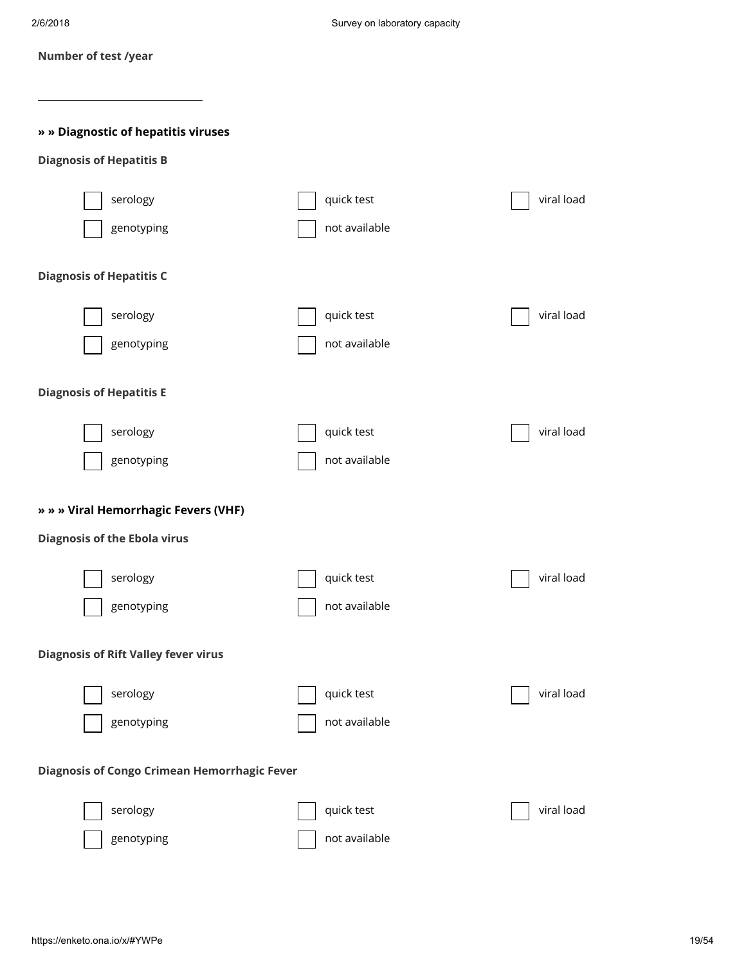|  |  | Number of test /year |
|--|--|----------------------|
|  |  |                      |

## » » Diagnostic of hepatitis viruses

## Diagnosis of Hepatitis B

| serology                                                                    | quick test    | viral load |
|-----------------------------------------------------------------------------|---------------|------------|
| genotyping                                                                  | not available |            |
| <b>Diagnosis of Hepatitis C</b>                                             |               |            |
| serology                                                                    | quick test    | viral load |
| genotyping                                                                  | not available |            |
| <b>Diagnosis of Hepatitis E</b>                                             |               |            |
| serology                                                                    | quick test    | viral load |
| genotyping                                                                  | not available |            |
| » » » Viral Hemorrhagic Fevers (VHF)<br><b>Diagnosis of the Ebola virus</b> |               |            |
|                                                                             |               |            |
| serology                                                                    | quick test    | viral load |
| genotyping                                                                  | not available |            |
|                                                                             |               |            |
| <b>Diagnosis of Rift Valley fever virus</b>                                 |               |            |
| serology                                                                    | quick test    | viral load |
| genotyping<br>للمسلما                                                       | not available |            |
| <b>Diagnosis of Congo Crimean Hemorrhagic Fever</b>                         |               |            |
| serology                                                                    | quick test    | viral load |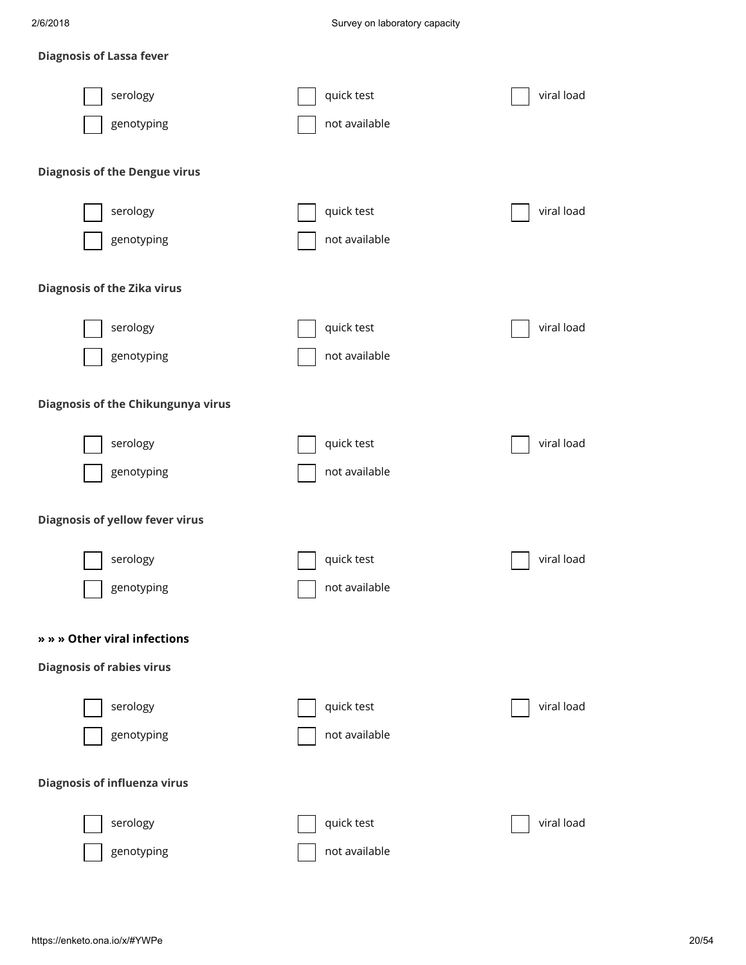## Diagnosis of Lassa fever

| serology<br>genotyping                 | quick test<br>not available | viral load |
|----------------------------------------|-----------------------------|------------|
| <b>Diagnosis of the Dengue virus</b>   |                             |            |
| serology<br>genotyping                 | quick test<br>not available | viral load |
| <b>Diagnosis of the Zika virus</b>     |                             |            |
| serology<br>genotyping                 | quick test<br>not available | viral load |
| Diagnosis of the Chikungunya virus     |                             |            |
| serology<br>genotyping                 | quick test<br>not available | viral load |
| <b>Diagnosis of yellow fever virus</b> |                             |            |
| serology<br>genotyping                 | quick test<br>not available | viral load |
| » » » Other viral infections           |                             |            |
| <b>Diagnosis of rabies virus</b>       |                             |            |
| serology<br>genotyping                 | quick test<br>not available | viral load |
| <b>Diagnosis of influenza virus</b>    |                             |            |
| serology<br>genotyping                 | quick test<br>not available | viral load |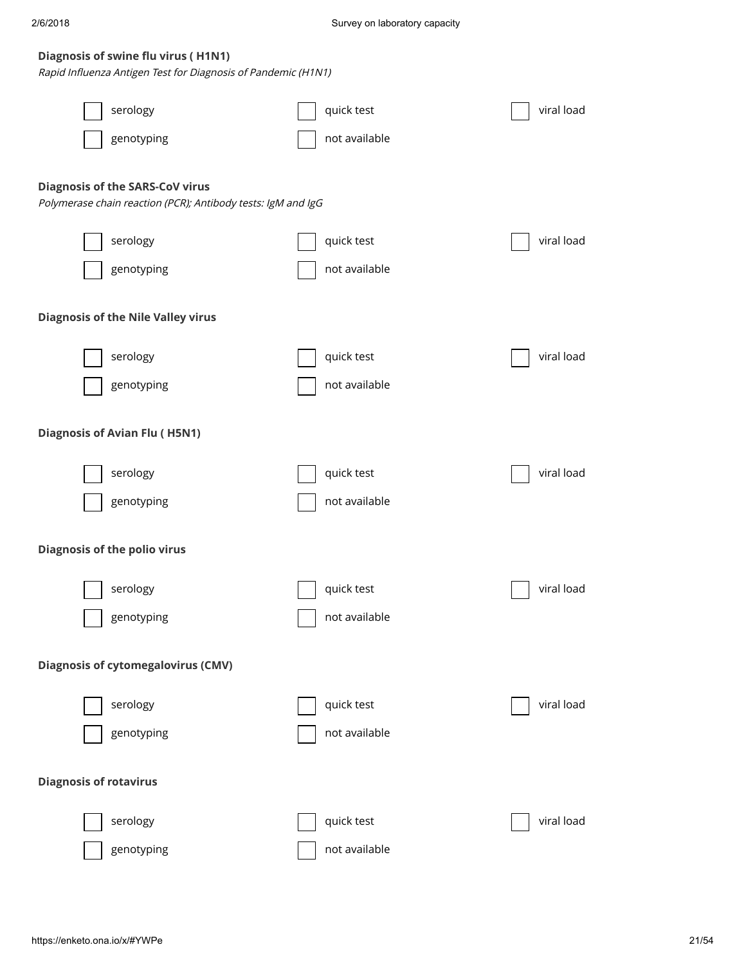#### Diagnosis of swine flu virus ( H1N1)

Rapid Influenza Antigen Test for Diagnosis of Pandemic (H1N1)

| serology                                                                                               | quick test                  | viral load |
|--------------------------------------------------------------------------------------------------------|-----------------------------|------------|
| genotyping                                                                                             | not available               |            |
|                                                                                                        |                             |            |
| <b>Diagnosis of the SARS-CoV virus</b><br>Polymerase chain reaction (PCR); Antibody tests: IgM and IgG |                             |            |
| serology                                                                                               | quick test                  | viral load |
| genotyping                                                                                             | not available               |            |
|                                                                                                        |                             |            |
| <b>Diagnosis of the Nile Valley virus</b>                                                              |                             |            |
| serology                                                                                               | quick test                  | viral load |
| genotyping                                                                                             | not available               |            |
|                                                                                                        |                             |            |
| <b>Diagnosis of Avian Flu (H5N1)</b>                                                                   |                             |            |
| serology                                                                                               | quick test                  | viral load |
| genotyping                                                                                             | not available               |            |
|                                                                                                        |                             |            |
| <b>Diagnosis of the polio virus</b>                                                                    |                             |            |
| serology                                                                                               | quick test                  | viral load |
| genotyping                                                                                             | not available               |            |
| <b>Diagnosis of cytomegalovirus (CMV)</b>                                                              |                             |            |
|                                                                                                        |                             |            |
| serology                                                                                               | quick test                  | viral load |
| genotyping                                                                                             | not available               |            |
| <b>Diagnosis of rotavirus</b>                                                                          |                             |            |
|                                                                                                        |                             |            |
| serology                                                                                               | quick test<br>not available | viral load |
| genotyping                                                                                             |                             |            |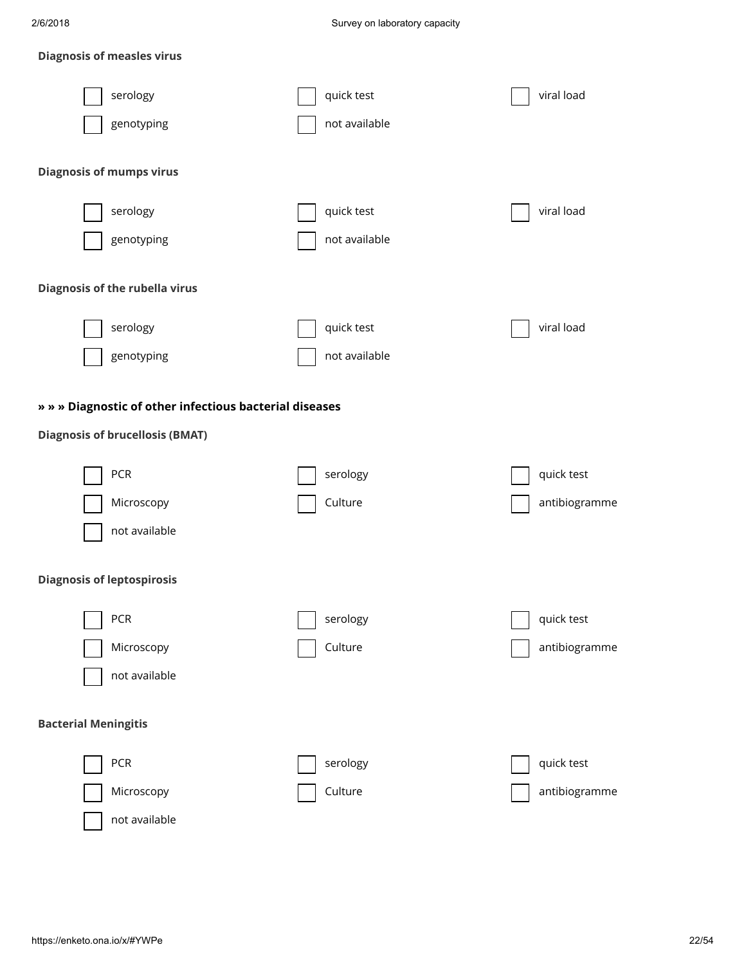## Diagnosis of measles virus

| serology                                                | quick test    | viral load    |
|---------------------------------------------------------|---------------|---------------|
| genotyping                                              | not available |               |
| <b>Diagnosis of mumps virus</b>                         |               |               |
|                                                         |               |               |
| serology                                                | quick test    | viral load    |
| genotyping                                              | not available |               |
| <b>Diagnosis of the rubella virus</b>                   |               |               |
|                                                         |               |               |
| serology                                                | quick test    | viral load    |
| genotyping                                              | not available |               |
| » » » Diagnostic of other infectious bacterial diseases |               |               |
| <b>Diagnosis of brucellosis (BMAT)</b>                  |               |               |
|                                                         |               |               |
| <b>PCR</b>                                              | serology      | quick test    |
| Microscopy                                              | Culture       | antibiogramme |
| not available                                           |               |               |
| <b>Diagnosis of leptospirosis</b>                       |               |               |
|                                                         |               |               |
| <b>PCR</b>                                              | serology      | quick test    |
| Microscopy                                              | Culture       | antibiogramme |
| not available                                           |               |               |
| <b>Bacterial Meningitis</b>                             |               |               |
| <b>PCR</b>                                              | serology      | quick test    |
| Microscopy                                              | Culture       | antibiogramme |
| not available                                           |               |               |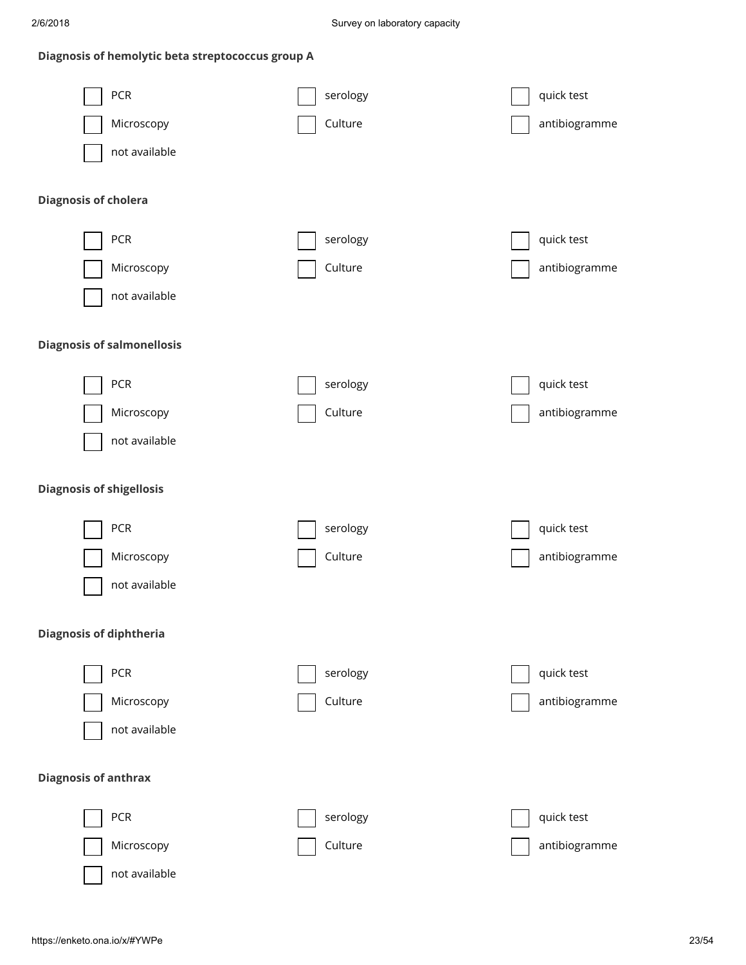## Diagnosis of hemolytic beta streptococcus group A

| PCR                               | serology | quick test    |
|-----------------------------------|----------|---------------|
| Microscopy                        | Culture  | antibiogramme |
| not available                     |          |               |
|                                   |          |               |
| <b>Diagnosis of cholera</b>       |          |               |
| PCR                               | serology | quick test    |
| Microscopy                        | Culture  | antibiogramme |
| not available                     |          |               |
| <b>Diagnosis of salmonellosis</b> |          |               |
|                                   |          |               |
| PCR                               | serology | quick test    |
| Microscopy                        | Culture  | antibiogramme |
| not available                     |          |               |
| <b>Diagnosis of shigellosis</b>   |          |               |
|                                   |          |               |
| PCR                               | serology | quick test    |
| Microscopy                        | Culture  | antibiogramme |
| not available                     |          |               |
|                                   |          |               |
| <b>Diagnosis of diphtheria</b>    |          |               |
| PCR                               | serology | quick test    |
| Microscopy                        | Culture  | antibiogramme |
| not available                     |          |               |
| <b>Diagnosis of anthrax</b>       |          |               |
| PCR                               | serology | quick test    |

not available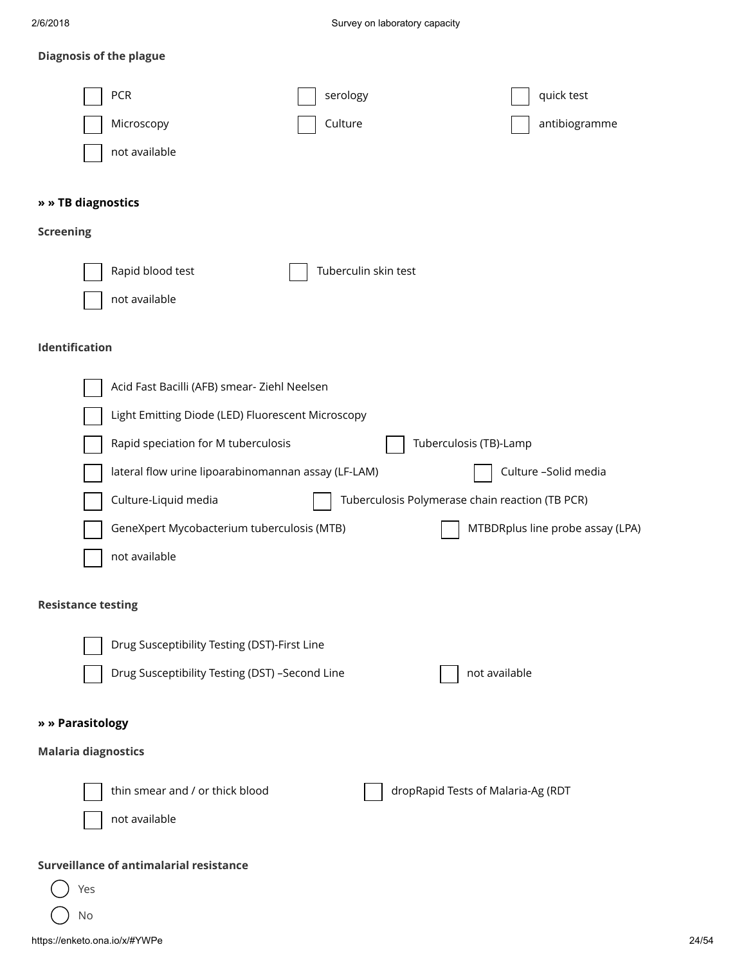## Diagnosis of the plague

| PCR<br>serology<br>quick test                                                  |       |
|--------------------------------------------------------------------------------|-------|
| Culture<br>antibiogramme<br>Microscopy                                         |       |
| not available                                                                  |       |
|                                                                                |       |
| » » TB diagnostics                                                             |       |
| <b>Screening</b>                                                               |       |
| Rapid blood test<br>Tuberculin skin test                                       |       |
| not available                                                                  |       |
|                                                                                |       |
| Identification                                                                 |       |
|                                                                                |       |
| Acid Fast Bacilli (AFB) smear- Ziehl Neelsen                                   |       |
| Light Emitting Diode (LED) Fluorescent Microscopy                              |       |
| Tuberculosis (TB)-Lamp<br>Rapid speciation for M tuberculosis                  |       |
| Culture -Solid media<br>lateral flow urine lipoarabinomannan assay (LF-LAM)    |       |
| Culture-Liquid media<br>Tuberculosis Polymerase chain reaction (TB PCR)        |       |
| GeneXpert Mycobacterium tuberculosis (MTB)<br>MTBDRplus line probe assay (LPA) |       |
| not available                                                                  |       |
| <b>Resistance testing</b>                                                      |       |
|                                                                                |       |
| Drug Susceptibility Testing (DST)-First Line                                   |       |
| Drug Susceptibility Testing (DST) -Second Line<br>not available                |       |
|                                                                                |       |
| » » Parasitology                                                               |       |
| <b>Malaria diagnostics</b>                                                     |       |
| thin smear and / or thick blood<br>dropRapid Tests of Malaria-Ag (RDT          |       |
| not available                                                                  |       |
|                                                                                |       |
| Surveillance of antimalarial resistance                                        |       |
| Yes                                                                            |       |
| No                                                                             |       |
| https://enketo.ona.io/x/#YWPe                                                  | 24/54 |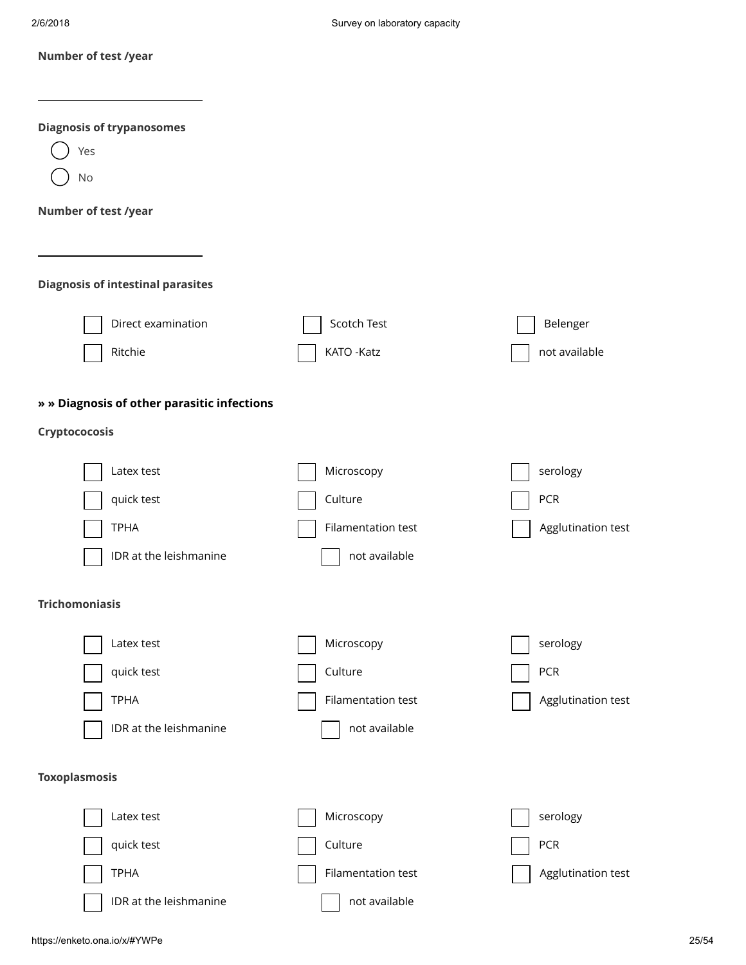|  | Number of test /year |  |
|--|----------------------|--|
|--|----------------------|--|

| <b>Diagnosis of trypanosomes</b>            |                    |                    |
|---------------------------------------------|--------------------|--------------------|
| Yes                                         |                    |                    |
| No                                          |                    |                    |
| Number of test /year                        |                    |                    |
|                                             |                    |                    |
|                                             |                    |                    |
| <b>Diagnosis of intestinal parasites</b>    |                    |                    |
| Direct examination                          | Scotch Test        | Belenger           |
| Ritchie                                     | KATO - Katz        | not available      |
|                                             |                    |                    |
| » » Diagnosis of other parasitic infections |                    |                    |
| Cryptococosis                               |                    |                    |
| Latex test                                  | Microscopy         | serology           |
| quick test                                  | Culture            | <b>PCR</b>         |
| <b>TPHA</b>                                 | Filamentation test | Agglutination test |
|                                             |                    |                    |
| IDR at the leishmanine                      | not available      |                    |
| <b>Trichomoniasis</b>                       |                    |                    |
|                                             |                    |                    |
| Latex test                                  | Microscopy         | serology           |
| quick test                                  | Culture            | PCR                |
| <b>TPHA</b>                                 | Filamentation test | Agglutination test |
| IDR at the leishmanine                      | not available      |                    |
|                                             |                    |                    |
| <b>Toxoplasmosis</b>                        |                    |                    |
| Latex test                                  | Microscopy         | serology           |
| quick test                                  | Culture            | PCR                |
| <b>TPHA</b>                                 | Filamentation test | Agglutination test |
| IDR at the leishmanine                      | not available      |                    |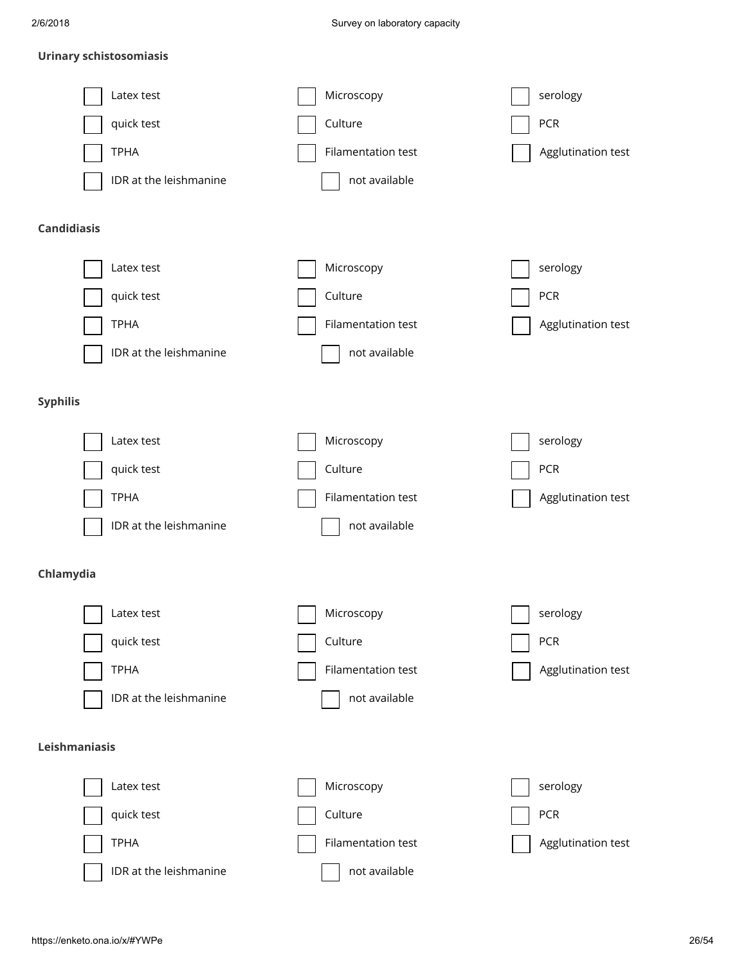#### Urinary schistosomiasis

| Latex test             | Microscopy         | serology           |
|------------------------|--------------------|--------------------|
| quick test             | Culture            | PCR                |
| <b>TPHA</b>            | Filamentation test | Agglutination test |
| IDR at the leishmanine | not available      |                    |
| <b>Candidiasis</b>     |                    |                    |
| Latex test             | Microscopy         | serology           |
| quick test             | Culture            | <b>PCR</b>         |
| <b>TPHA</b>            | Filamentation test | Agglutination test |
| IDR at the leishmanine | not available      |                    |
| <b>Syphilis</b>        |                    |                    |
| Latex test             | Microscopy         | serology           |
| quick test             | Culture            | <b>PCR</b>         |
| <b>TPHA</b>            | Filamentation test | Agglutination test |
| IDR at the leishmanine | not available      |                    |
| Chlamydia              |                    |                    |
| Latex test             | Microscopy         | serology           |
| quick test             | Culture            | <b>PCR</b>         |
| <b>TPHA</b>            | Filamentation test | Agglutination test |
| IDR at the leishmanine | not available      |                    |
| Leishmaniasis          |                    |                    |
| Latex test             | Microscopy         | serology           |
| quick test             | Culture            | <b>PCR</b>         |
| <b>TPHA</b>            | Filamentation test | Agglutination test |
| IDR at the leishmanine | not available      |                    |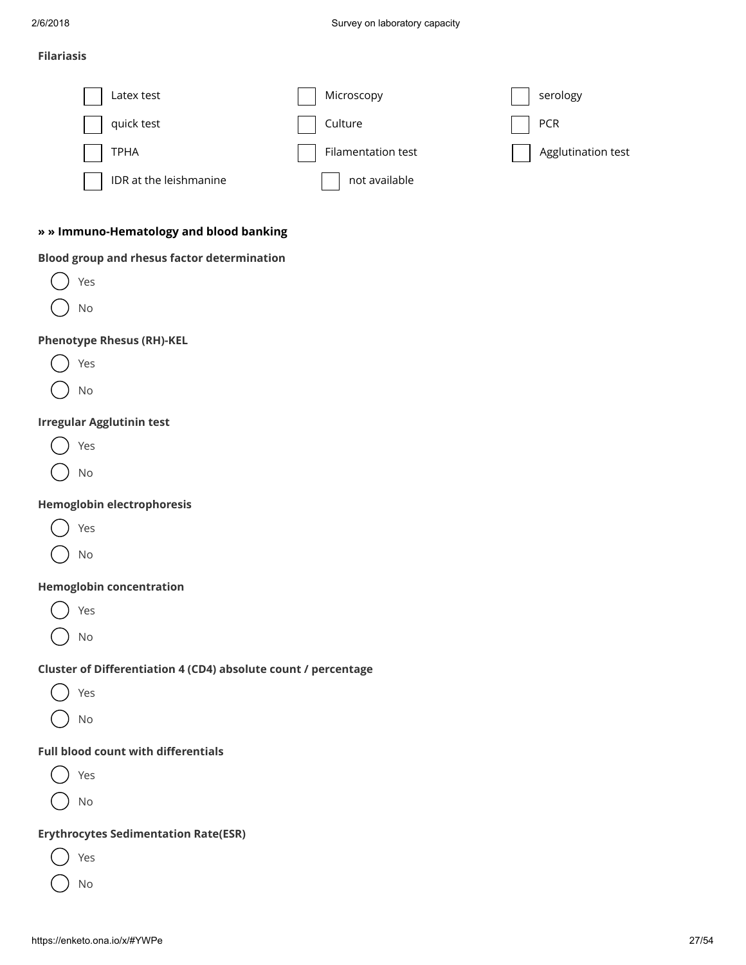#### Filariasis

| Latex test             | Microscopy         | serology           |
|------------------------|--------------------|--------------------|
| quick test             | Culture            | PCR                |
| TPHA                   | Filamentation test | Agglutination test |
| IDR at the leishmanine | not available      |                    |

## » » Immuno-Hematology and blood banking

#### Blood group and rhesus factor determination

| Yes |  |
|-----|--|
| No  |  |

## Phenotype Rhesus (RH)-KEL

No

#### Irregular Agglutinin test

Yes

No

## Hemoglobin electrophoresis

|--|--|

No

#### Hemoglobin concentration

Yes

No

## Cluster of Differentiation 4 (CD4) absolute count / percentage

| ٠ | ۰.<br>۰. |
|---|----------|
|---|----------|

No

## Full blood count with differentials

Yes

No

## Erythrocytes Sedimentation Rate(ESR)

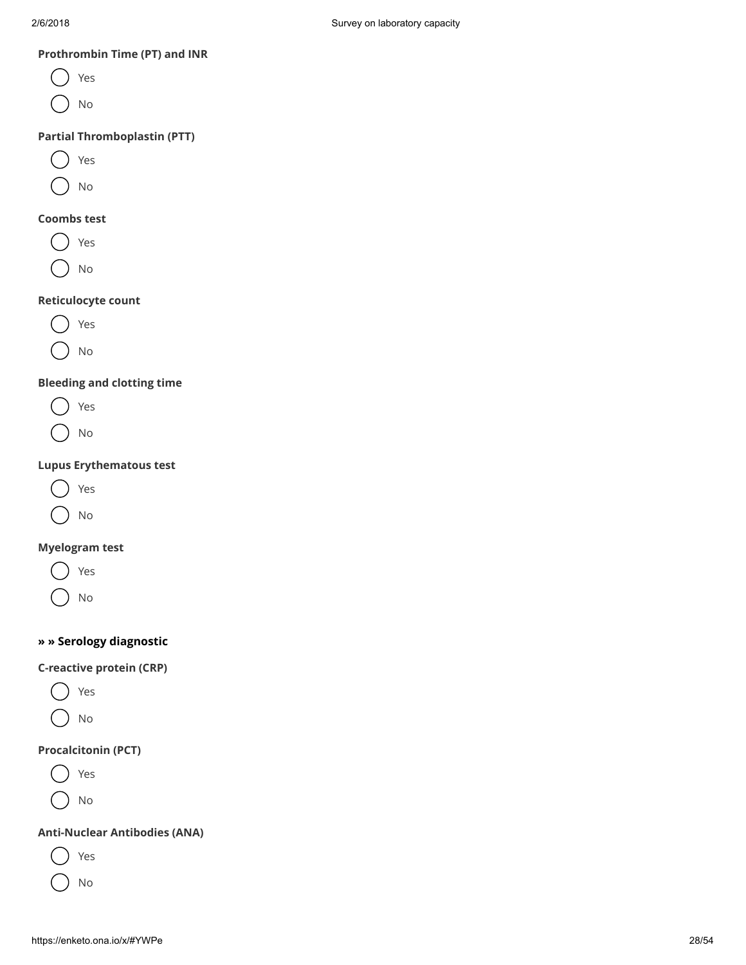#### Prothrombin Time (PT) and INR

- Yes
- No

## Partial Thromboplastin (PTT)

Yes

No

### Coombs test

Yes

No

## Reticulocyte count



No

## Bleeding and clotting time

| $\frac{1}{2}$ | ٠ |
|---------------|---|
|---------------|---|

No

## Lupus Erythematous test



No

## Myelogram test

Yes

No

## » » Serology diagnostic

## C-reactive protein (CRP)



No

## Procalcitonin (PCT)

Yes

No

## Anti-Nuclear Antibodies (ANA)

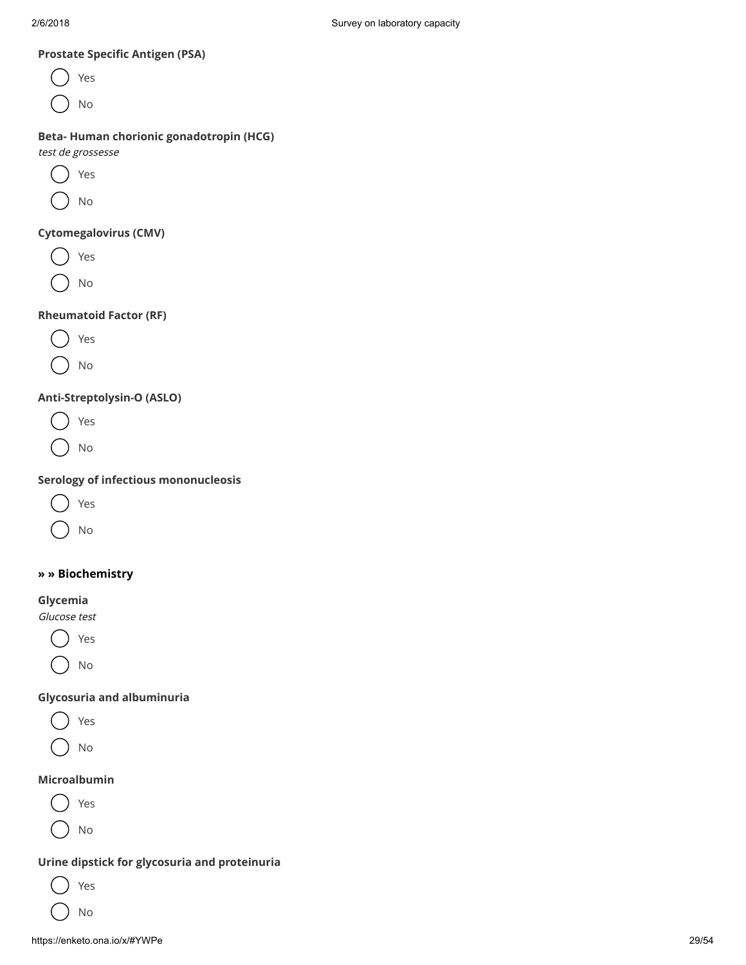## Prostate Specific Antigen (PSA)

Yes No

## Beta- Human chorionic gonadotropin (HCG)

test de grossesse

Yes

No

### Cytomegalovirus (CMV)

Yes

No

## Rheumatoid Factor (RF)

- Yes
- No

## Anti-Streptolysin-O (ASLO)

- Yes
- No

## Serology of infectious mononucleosis

No

## » » Biochemistry

#### Glycemia

Glucose test

Yes No

## Glycosuria and albuminuria

- Yes
- No

## Microalbumin

- Yes
- No

#### Urine dipstick for glycosuria and proteinuria

Yes

No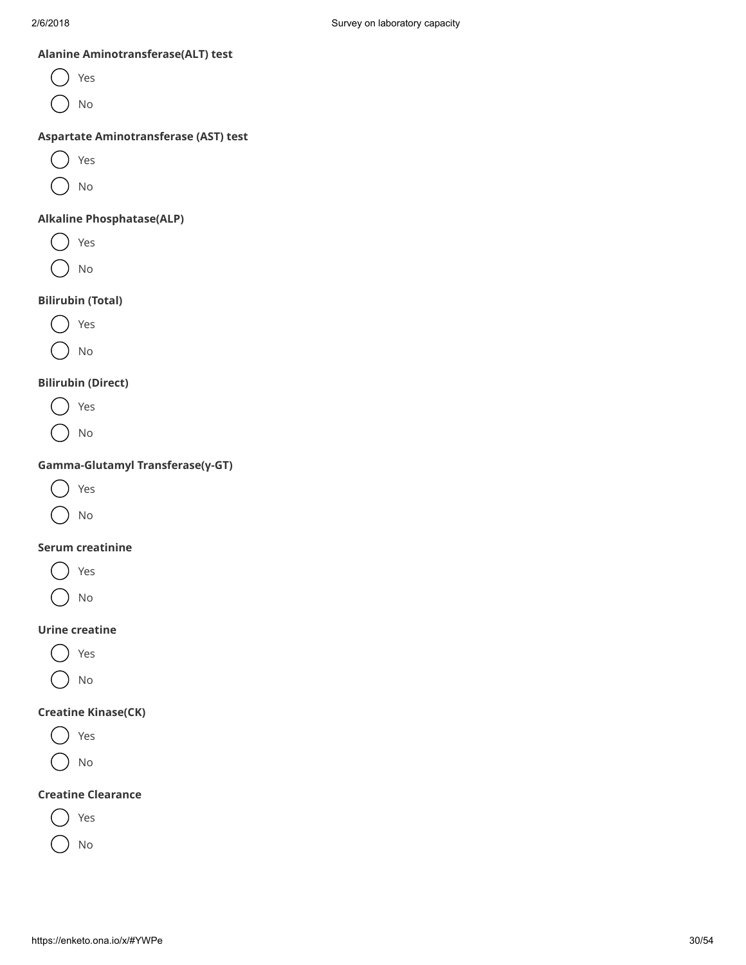### Alanine Aminotransferase(ALT) test

Yes No

#### Aspartate Aminotransferase (AST) test

Yes

No

## Alkaline Phosphatase(ALP)

Yes  $(\Box$ 

No

## Bilirubin (Total)



No

## Bilirubin (Direct)

Yes

No

## Gamma-Glutamyl Transferase(γ-GT)



No

## Serum creatinine

- Yes
- No

## Urine creatine



No

## Creatine Kinase(CK)

Yes

No

## Creatine Clearance



No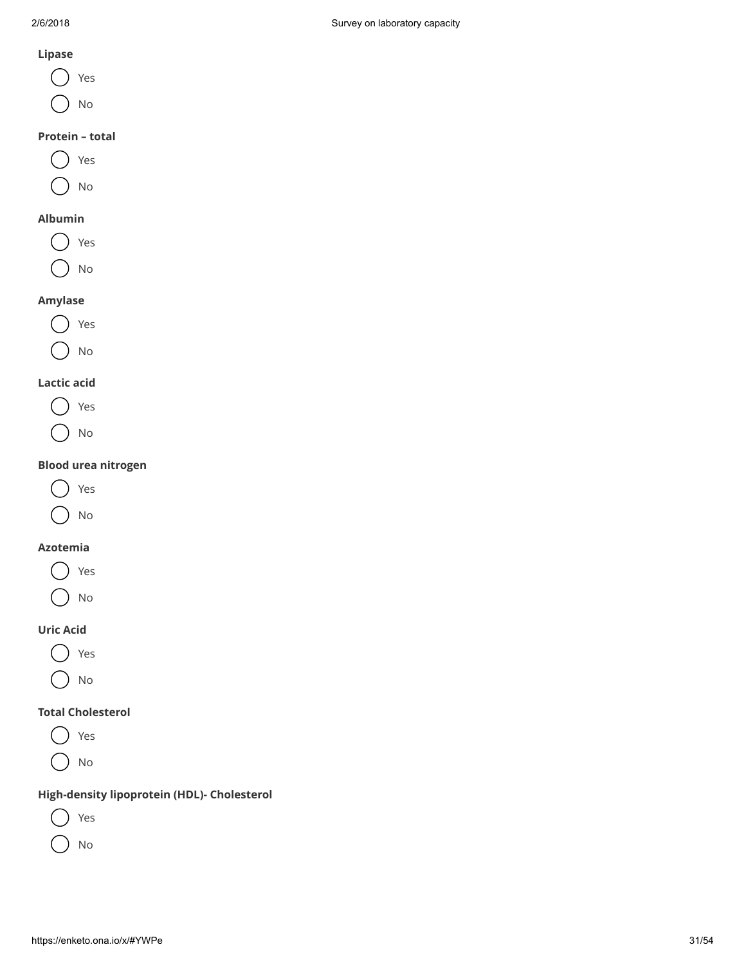## Lipase

- Yes
- No

## Protein – total



### Albumin



## Amylase



## Lactic acid



## Blood urea nitrogen



No

## Azotemia

Yes No

## Uric Acid

- $(\ )$ Yes
- No

## Total Cholesterol

Yes  $($  ) No

## High-density lipoprotein (HDL)- Cholesterol

- Yes
- No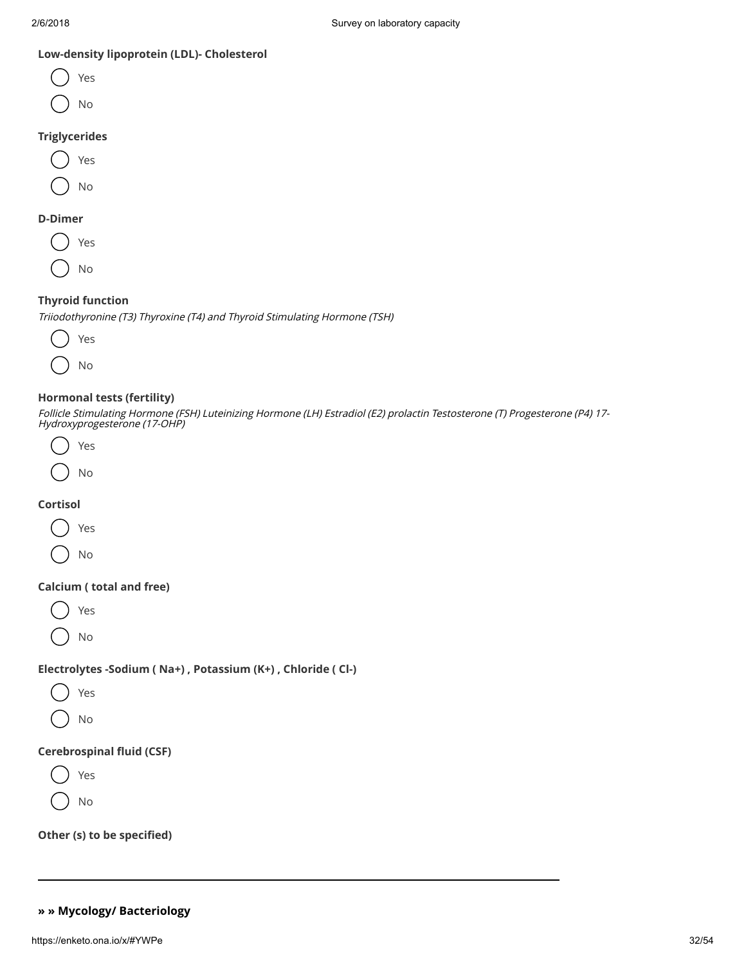### Low-density lipoprotein (LDL)- Cholesterol



Triglycerides



#### D-Dimer



#### Thyroid function

Triiodothyronine (T3) Thyroxine (T4) and Thyroid Stimulating Hormone (TSH)



#### Hormonal tests (fertility)

Follicle Stimulating Hormone (FSH) Luteinizing Hormone (LH) Estradiol (E2) prolactin Testosterone (T) Progesterone (P4) 17- Hydroxyprogesterone (17-OHP)



## Cortisol

Yes

No

#### Calcium ( total and free)

Yes

No

## Electrolytes -Sodium ( Na+) , Potassium (K+) , Chloride ( Cl-)



No

#### Cerebrospinal fluid (CSF)

Yes No

Other (s) to be specified)

## » » Mycology/ Bacteriology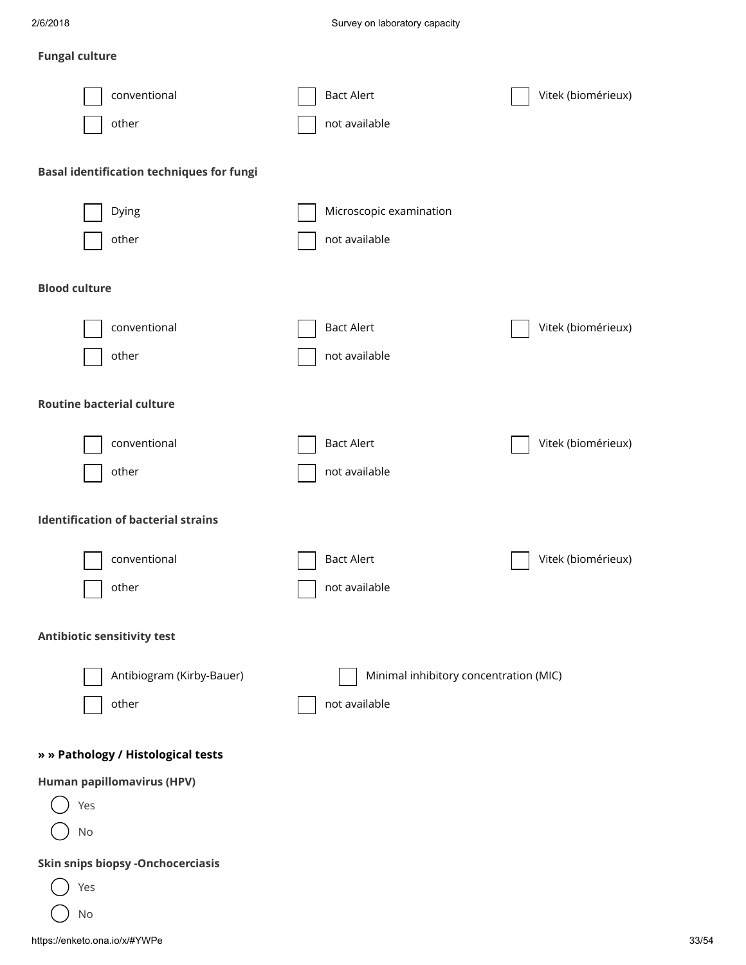## Fungal culture

| conventional<br>other                            | <b>Bact Alert</b><br>not available     | Vitek (biomérieux) |
|--------------------------------------------------|----------------------------------------|--------------------|
| <b>Basal identification techniques for fungi</b> |                                        |                    |
| Dying                                            | Microscopic examination                |                    |
| other                                            | not available                          |                    |
| <b>Blood culture</b>                             |                                        |                    |
| conventional                                     | <b>Bact Alert</b>                      | Vitek (biomérieux) |
| other                                            | not available                          |                    |
| <b>Routine bacterial culture</b>                 |                                        |                    |
| conventional                                     | <b>Bact Alert</b>                      | Vitek (biomérieux) |
| other                                            | not available                          |                    |
| <b>Identification of bacterial strains</b>       |                                        |                    |
| conventional                                     | <b>Bact Alert</b>                      | Vitek (biomérieux) |
| other                                            | not available                          |                    |
| Antibiotic sensitivity test                      |                                        |                    |
| Antibiogram (Kirby-Bauer)                        | Minimal inhibitory concentration (MIC) |                    |
| other                                            | not available                          |                    |
| » » Pathology / Histological tests               |                                        |                    |
| Human papillomavirus (HPV)                       |                                        |                    |
| Yes<br>No                                        |                                        |                    |
| <b>Skin snips biopsy -Onchocerciasis</b>         |                                        |                    |
| Yes<br>No                                        |                                        |                    |
|                                                  |                                        |                    |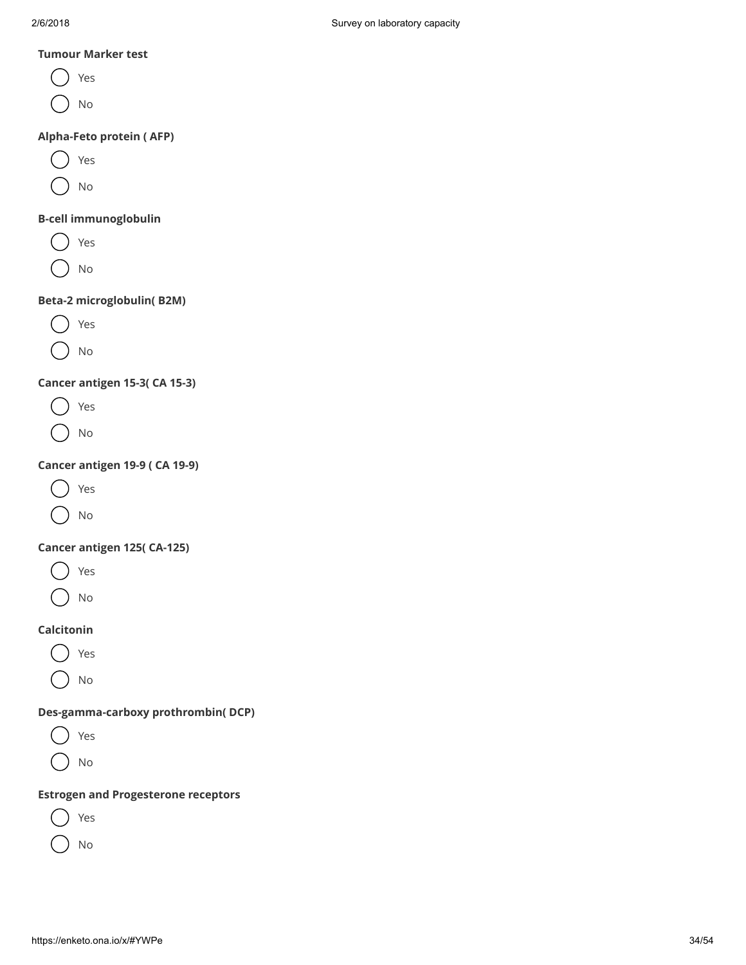#### Tumour Marker test

- Yes
- No

### Alpha-Feto protein ( AFP)

- Yes
- No

### B-cell immunoglobulin

- Yes
- No

## Beta-2 microglobulin( B2M)

- Yes
- No

## Cancer antigen 15-3( CA 15-3)

- Yes
- No

## Cancer antigen 19-9 ( CA 19-9)

- Yes
- No

## Cancer antigen 125( CA-125)

- Yes
- No

## Calcitonin

- Yes
- No

## Des-gamma-carboxy prothrombin( DCP)

Yes No

## Estrogen and Progesterone receptors

- Yes
- No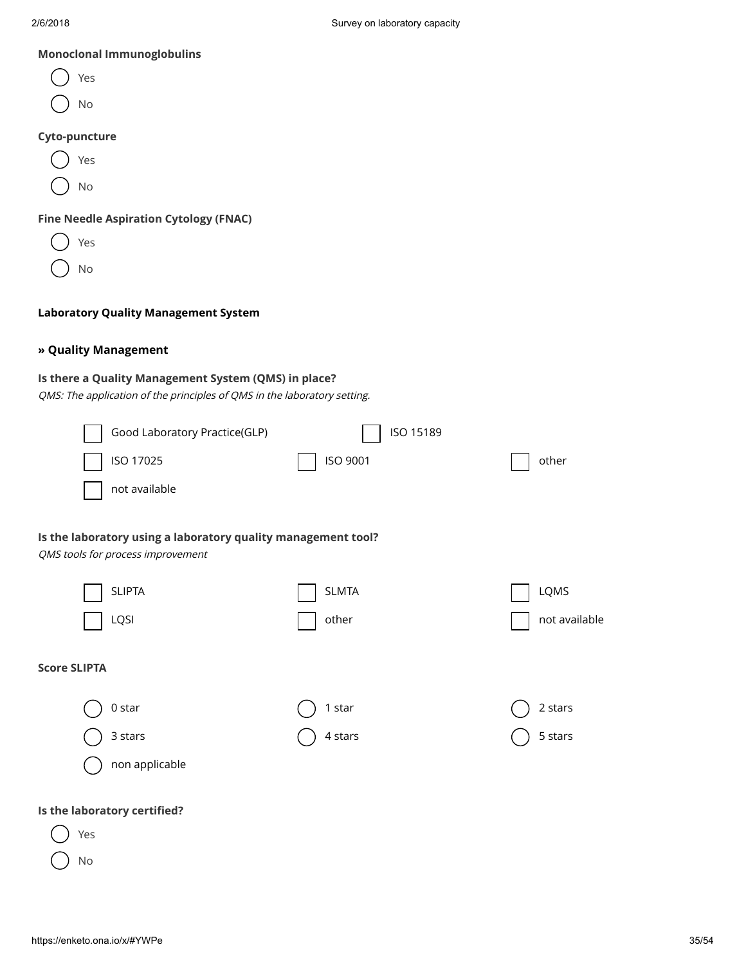### Monoclonal Immunoglobulins

- Yes No Yes No Cyto-puncture Yes No Fine Needle Aspiration Cytology (FNAC)
- Laboratory Quality Management System

#### » Quality Management

## Is there a Quality Management System (QMS) in place?

QMS: The application of the principles of QMS in the laboratory setting.

| Good Laboratory Practice(GLP)                                                                      | ISO 15189    |               |
|----------------------------------------------------------------------------------------------------|--------------|---------------|
| ISO 17025                                                                                          | ISO 9001     | other         |
| not available                                                                                      |              |               |
| Is the laboratory using a laboratory quality management tool?<br>QMS tools for process improvement |              |               |
| <b>SLIPTA</b>                                                                                      | <b>SLMTA</b> | LQMS          |
| LQSI                                                                                               | other        | not available |
| <b>Score SLIPTA</b>                                                                                |              |               |
| $0$ star                                                                                           | 1 star       | 2 stars       |
| 3 stars                                                                                            | 4 stars      | 5 stars       |
| non applicable                                                                                     |              |               |
| Is the laboratory certified?<br>Yes                                                                |              |               |
| No                                                                                                 |              |               |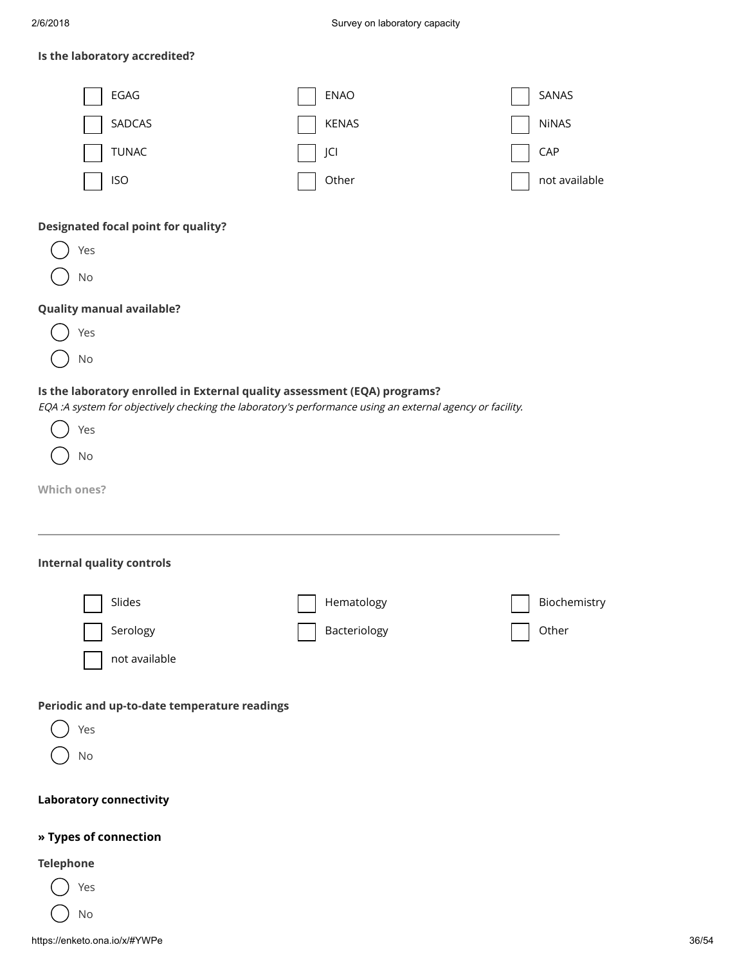## Is the laboratory accredited?

| EGAG                                                                                                                                                                                                                      | <b>ENAO</b>                | SANAS                 |
|---------------------------------------------------------------------------------------------------------------------------------------------------------------------------------------------------------------------------|----------------------------|-----------------------|
| SADCAS                                                                                                                                                                                                                    | <b>KENAS</b>               | <b>NiNAS</b>          |
| <b>TUNAC</b>                                                                                                                                                                                                              | JCI                        | CAP                   |
| <b>ISO</b>                                                                                                                                                                                                                | Other                      | not available         |
| <b>Designated focal point for quality?</b><br>Yes<br>No<br><b>Quality manual available?</b><br>Yes                                                                                                                        |                            |                       |
| No                                                                                                                                                                                                                        |                            |                       |
| Is the laboratory enrolled in External quality assessment (EQA) programs?<br>EQA :A system for objectively checking the laboratory's performance using an external agency or facility.<br>Yes<br>No<br><b>Which ones?</b> |                            |                       |
|                                                                                                                                                                                                                           |                            |                       |
| <b>Internal quality controls</b>                                                                                                                                                                                          |                            |                       |
| Slides<br>Serology<br>not available                                                                                                                                                                                       | Hematology<br>Bacteriology | Biochemistry<br>Other |
| Periodic and up-to-date temperature readings<br>Yes<br>No                                                                                                                                                                 |                            |                       |
| <b>Laboratory connectivity</b>                                                                                                                                                                                            |                            |                       |
| » Types of connection                                                                                                                                                                                                     |                            |                       |
| <b>Telephone</b>                                                                                                                                                                                                          |                            |                       |
| Yes                                                                                                                                                                                                                       |                            |                       |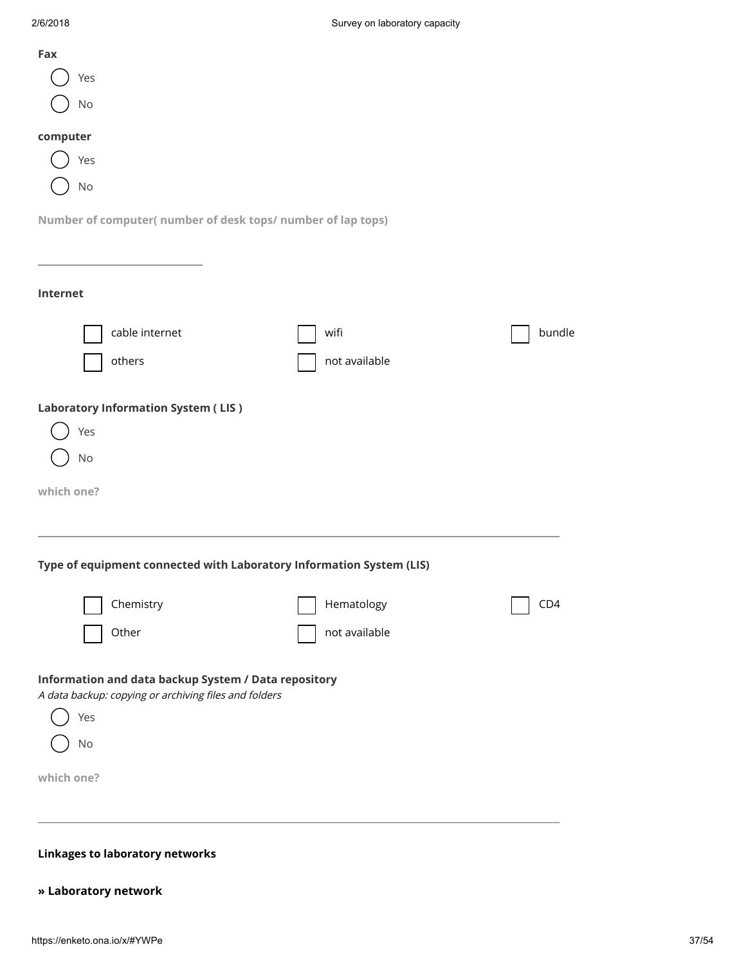| Fax                                                                                                                              |               |        |
|----------------------------------------------------------------------------------------------------------------------------------|---------------|--------|
| Yes                                                                                                                              |               |        |
| No                                                                                                                               |               |        |
| computer                                                                                                                         |               |        |
| Yes                                                                                                                              |               |        |
| No                                                                                                                               |               |        |
|                                                                                                                                  |               |        |
| Number of computer(number of desk tops/number of lap tops)                                                                       |               |        |
|                                                                                                                                  |               |        |
| Internet                                                                                                                         |               |        |
|                                                                                                                                  |               |        |
| cable internet                                                                                                                   | wifi          | bundle |
| others                                                                                                                           | not available |        |
| Yes<br>No                                                                                                                        |               |        |
|                                                                                                                                  |               |        |
| <b>Laboratory Information System (LIS)</b><br>which one?<br>Type of equipment connected with Laboratory Information System (LIS) |               |        |
| Chemistry                                                                                                                        | Hematology    | CD4    |
| Other                                                                                                                            | not available |        |
| Information and data backup System / Data repository<br>A data backup: copying or archiving files and folders<br>Yes<br>No       |               |        |
| which one?                                                                                                                       |               |        |
|                                                                                                                                  |               |        |

## » Laboratory network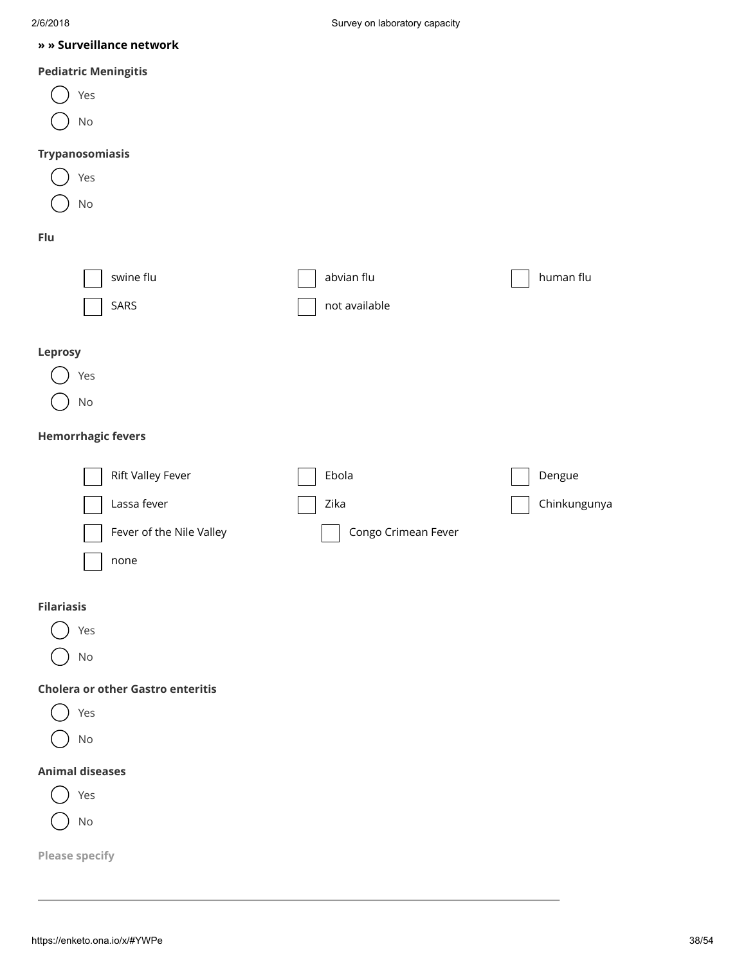#### » » Surveillance network

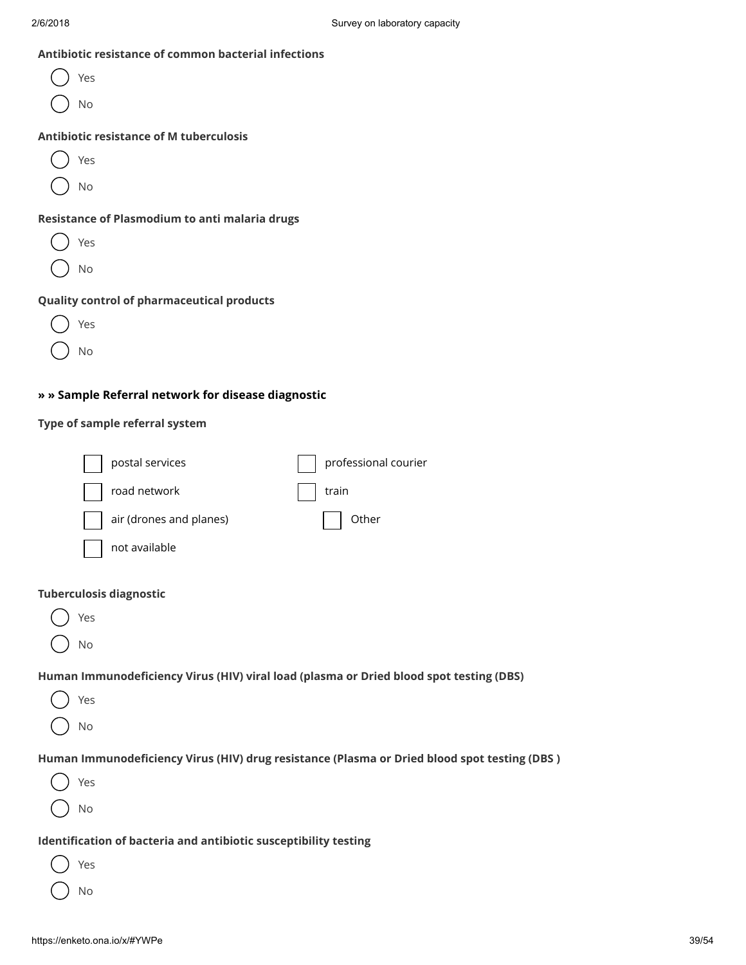#### Antibiotic resistance of common bacterial infections

| Yes                                               |
|---------------------------------------------------|
| No                                                |
| <b>Antibiotic resistance of M tuberculosis</b>    |
| Yes                                               |
| <b>No</b>                                         |
| Resistance of Plasmodium to anti malaria drugs    |
| Yes                                               |
| No                                                |
| <b>Quality control of pharmaceutical products</b> |
| Yρς                                               |

## » » Sample Referral network for disease diagnostic

## Type of sample referral system

 $()$  No

|                                       | postal services                                                  | professional courier                                                                          |
|---------------------------------------|------------------------------------------------------------------|-----------------------------------------------------------------------------------------------|
|                                       | road network                                                     | train                                                                                         |
|                                       | air (drones and planes)                                          | Other                                                                                         |
|                                       | not available                                                    |                                                                                               |
| <b>Tuberculosis diagnostic</b><br>Yes |                                                                  |                                                                                               |
| No                                    |                                                                  |                                                                                               |
|                                       |                                                                  | Human Immunodeficiency Virus (HIV) viral load (plasma or Dried blood spot testing (DBS)       |
| Yes                                   |                                                                  |                                                                                               |
| No                                    |                                                                  |                                                                                               |
|                                       |                                                                  | Human Immunodeficiency Virus (HIV) drug resistance (Plasma or Dried blood spot testing (DBS ) |
| Yes                                   |                                                                  |                                                                                               |
| No                                    |                                                                  |                                                                                               |
|                                       | Identification of bacteria and antibiotic susceptibility testing |                                                                                               |
| Yes                                   |                                                                  |                                                                                               |
| No                                    |                                                                  |                                                                                               |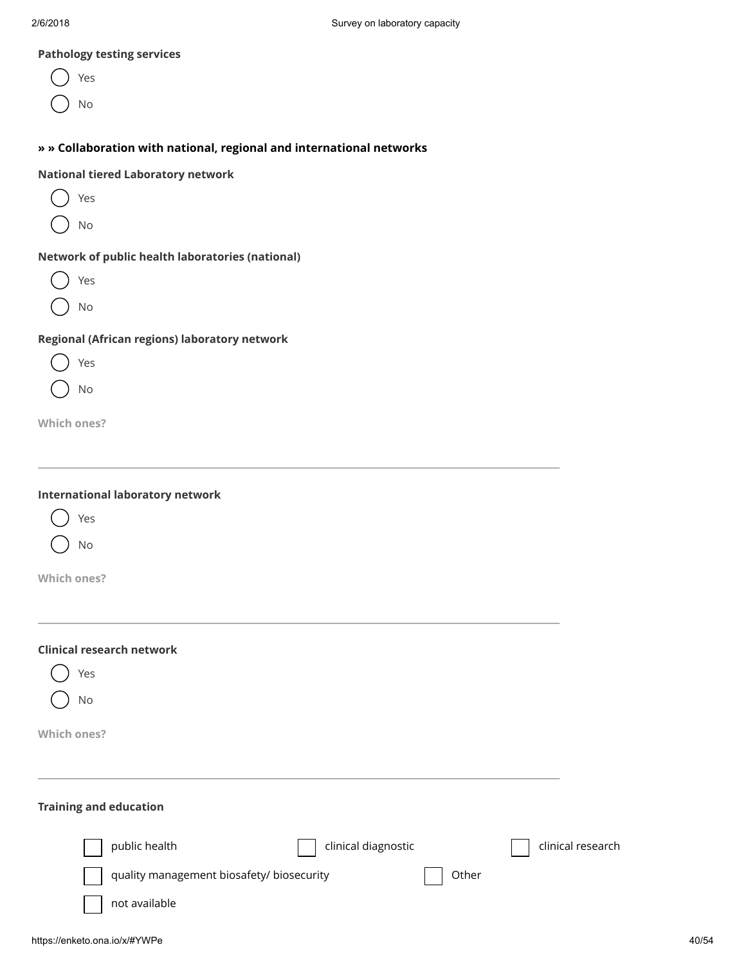#### Pathology testing services

- Yes
- No

## » » Collaboration with national, regional and international networks

#### National tiered Laboratory network

- Yes  $($  )
	- No

#### Network of public health laboratories (national)

- Yes
- No

#### Regional (African regions) laboratory network





Which ones?

| <b>International laboratory network</b> |  |  |
|-----------------------------------------|--|--|
|-----------------------------------------|--|--|



No

Which ones?

| <b>Clinical research network</b><br>Yes<br>No                                                               |                   |
|-------------------------------------------------------------------------------------------------------------|-------------------|
| Which ones?                                                                                                 |                   |
| <b>Training and education</b>                                                                               |                   |
| public health<br>clinical diagnostic<br>quality management biosafety/ biosecurity<br>Other<br>not available | clinical research |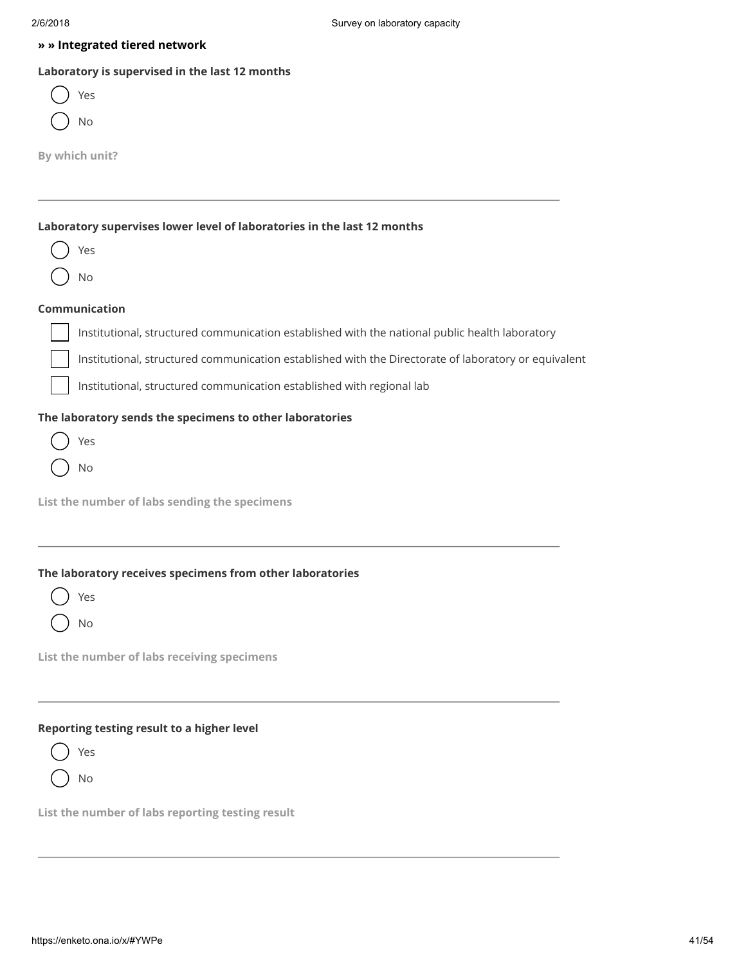#### » » Integrated tiered network

#### Laboratory is supervised in the last 12 months

| es/ |
|-----|
| ٩O  |

By which unit?

## Laboratory supervises lower level of laboratories in the last 12 months

Yes

## Communication

No

Institutional, structured communication established with the national public health laboratory

Institutional, structured communication established with the Directorate of laboratory or equivalent

Institutional, structured communication established with regional lab

#### The laboratory sends the specimens to other laboratories

|  | es |
|--|----|
|  | C  |

List the number of labs sending the specimens

#### The laboratory receives specimens from other laboratories

| I<br>٠ | ×<br>۰.<br>۹ |  |
|--------|--------------|--|
|        |              |  |
|        |              |  |
|        |              |  |
|        |              |  |
|        |              |  |

No

List the number of labs receiving specimens

#### Reporting testing result to a higher level

Yes

No

List the number of labs reporting testing result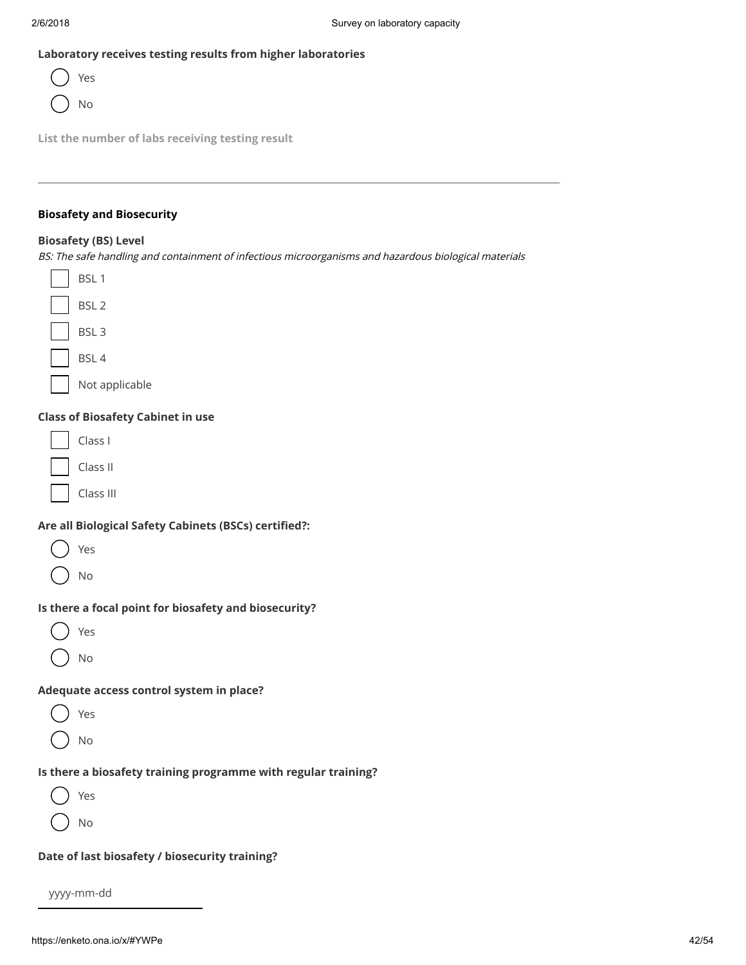### Laboratory receives testing results from higher laboratories



List the number of labs receiving testing result

## Biosafety and Biosecurity

#### Biosafety (BS) Level

BS: The safe handling and containment of infectious microorganisms and hazardous biological materials



#### Class of Biosafety Cabinet in use

| Class l  |  |
|----------|--|
| Class II |  |

Class III

#### Are all Biological Safety Cabinets (BSCs) certified?:

| ٠ | ٠ |
|---|---|
|---|---|

No

#### Is there a focal point for biosafety and biosecurity?

| $\frac{1}{2}$ | ٠ |
|---------------|---|
|               |   |

No

#### Adequate access control system in place?

| $\sim$ |  |
|--------|--|
|--------|--|

No

#### Is there a biosafety training programme with regular training?

Yes

No

#### Date of last biosafety / biosecurity training?

yyyy-mm-dd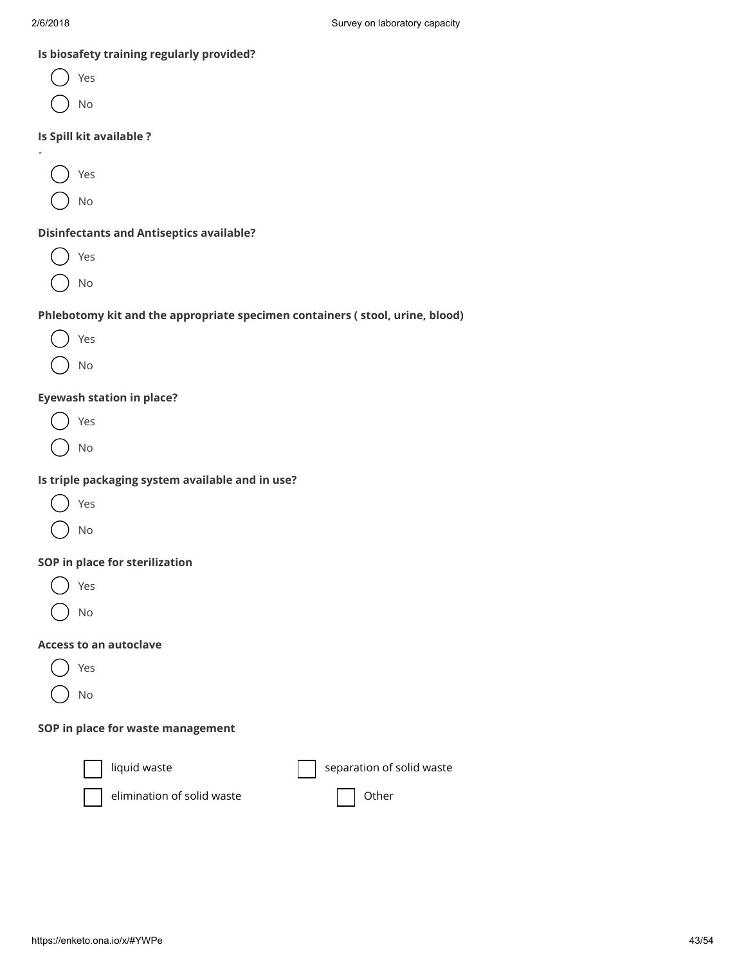| Is biosafety training regularly provided?                                    |                           |
|------------------------------------------------------------------------------|---------------------------|
| Yes                                                                          |                           |
| No                                                                           |                           |
| Is Spill kit available ?                                                     |                           |
|                                                                              |                           |
| Yes                                                                          |                           |
| No                                                                           |                           |
| <b>Disinfectants and Antiseptics available?</b>                              |                           |
| Yes                                                                          |                           |
| No                                                                           |                           |
| Phlebotomy kit and the appropriate specimen containers (stool, urine, blood) |                           |
| Yes                                                                          |                           |
| No                                                                           |                           |
| <b>Eyewash station in place?</b>                                             |                           |
| Yes                                                                          |                           |
| No                                                                           |                           |
| Is triple packaging system available and in use?                             |                           |
| Yes                                                                          |                           |
| No                                                                           |                           |
| SOP in place for sterilization                                               |                           |
| Yes                                                                          |                           |
| No                                                                           |                           |
| <b>Access to an autoclave</b>                                                |                           |
| Yes                                                                          |                           |
| No                                                                           |                           |
| SOP in place for waste management                                            |                           |
| liquid waste                                                                 | separation of solid waste |
|                                                                              |                           |



 $elimination of solid waste$   $\Box$  Other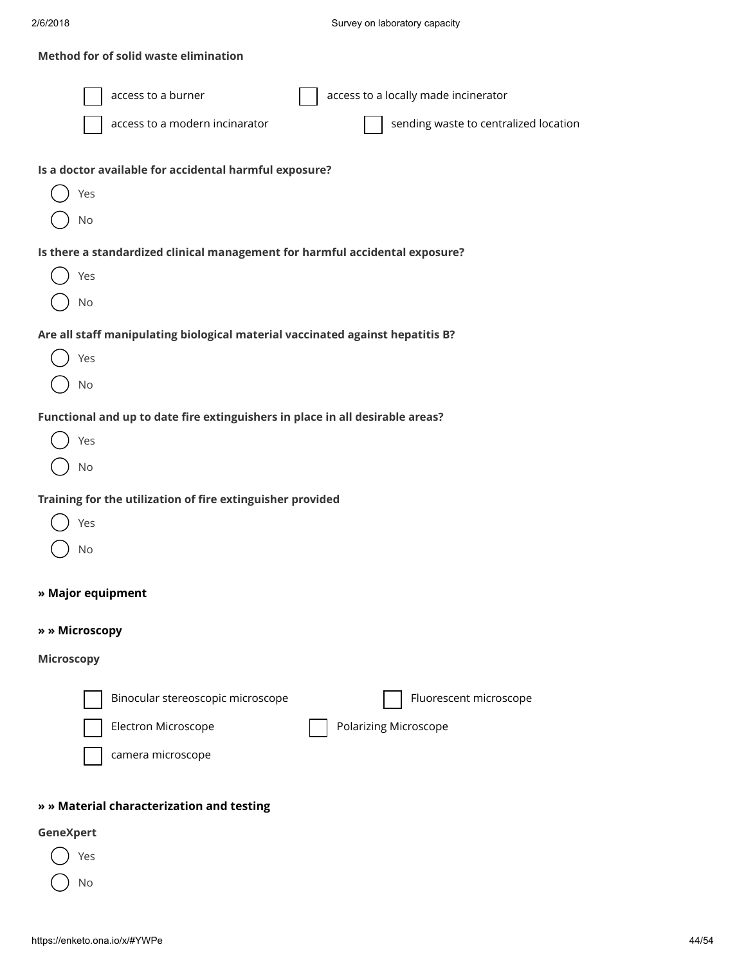### Method for of solid waste elimination

| access to a burner<br>access to a locally made incinerator<br>sending waste to centralized location<br>access to a modern incinarator<br>Is a doctor available for accidental harmful exposure?<br>Yes |
|--------------------------------------------------------------------------------------------------------------------------------------------------------------------------------------------------------|
| No                                                                                                                                                                                                     |
| Is there a standardized clinical management for harmful accidental exposure?<br>Yes<br>No                                                                                                              |
| Are all staff manipulating biological material vaccinated against hepatitis B?                                                                                                                         |
| Yes<br>No                                                                                                                                                                                              |
| Functional and up to date fire extinguishers in place in all desirable areas?                                                                                                                          |
| Yes                                                                                                                                                                                                    |
| No                                                                                                                                                                                                     |
| Training for the utilization of fire extinguisher provided<br>Yes<br>No                                                                                                                                |
| » Major equipment                                                                                                                                                                                      |
| » » Microscopy                                                                                                                                                                                         |
| <b>Microscopy</b>                                                                                                                                                                                      |
| Binocular stereoscopic microscope<br>Fluorescent microscope<br>Electron Microscope<br><b>Polarizing Microscope</b><br>camera microscope                                                                |
| » » Material characterization and testing                                                                                                                                                              |

## GeneXpert

Yes ( ) No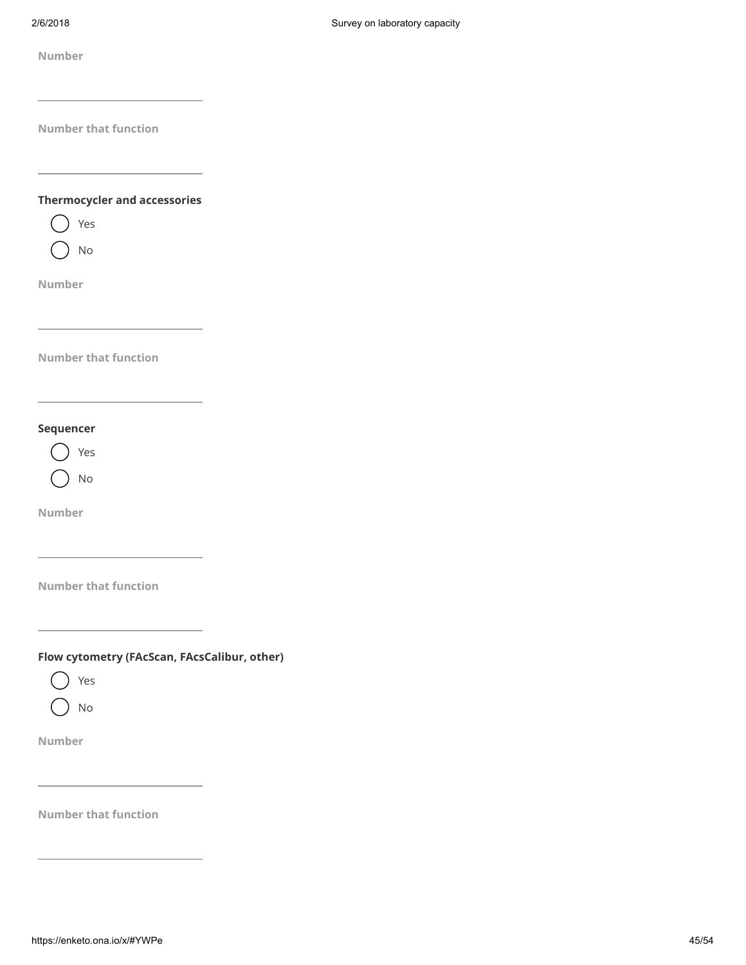#### Thermocycler and accessories



Number

Number that function

#### Sequencer



Number

Number that function

Number<br>
https://enketo.org/ward.org/ward.org/ward.org/ward.org/ward.org/ward.org/ward.org/ward.org/ward.org/ward.org/ward.org/ward.org/ward.org/ward.org/ward.org/ward.org/ward.org/ward.org/ward.org/ward.org/ward.org/ward. Flow cytometry (FAcScan, FAcsCalibur, other)

Yes

No

Number

Number that function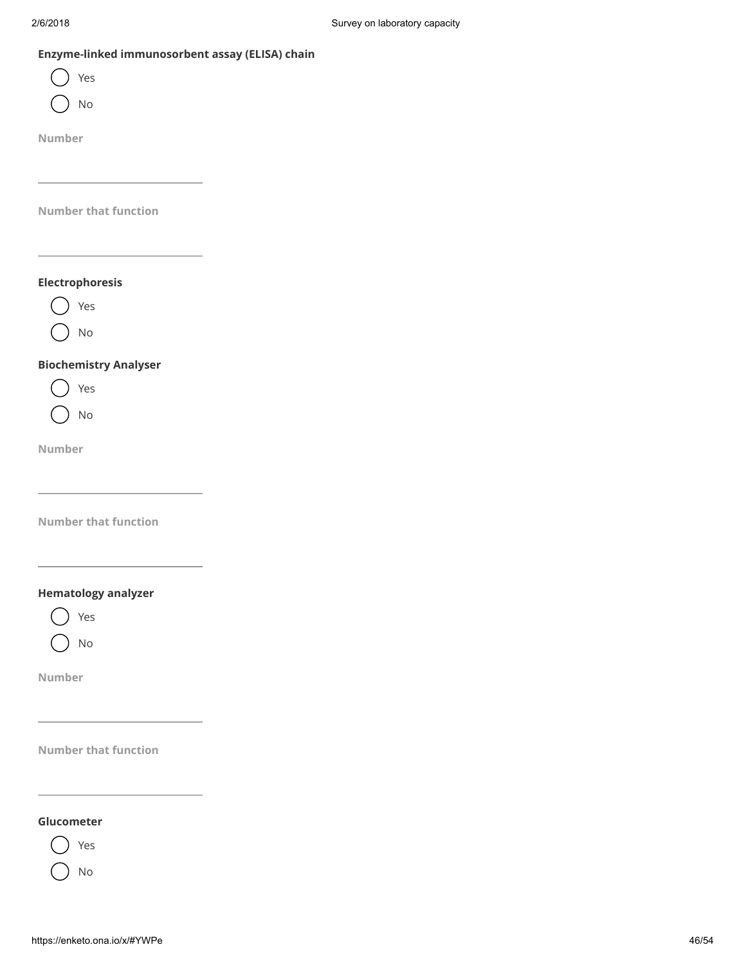## Enzyme-linked immunosorbent assay (ELISA) chain

| $\frac{1}{2}$ |   |
|---------------|---|
| ٧             | ٠ |
|               |   |

No

Number

Number that function

## Electrophoresis



No

#### Biochemistry Analyser



No

Number

Number that function

## Hematology analyzer

Yes

No

Number

Number that function

## Glucometer



No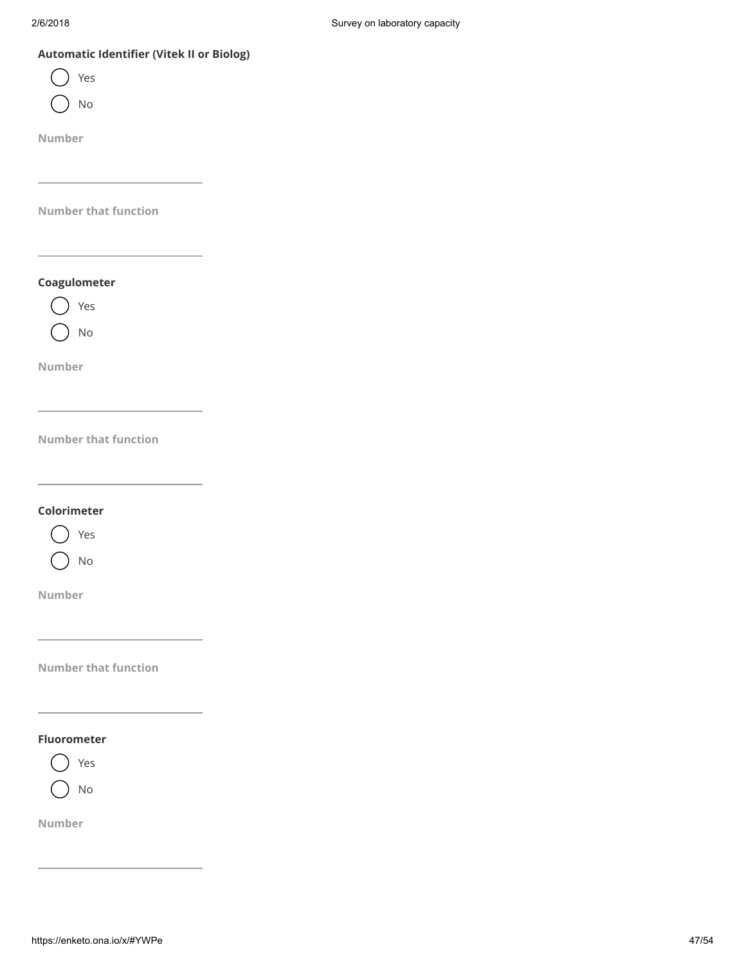## Automatic Identifier (Vitek II or Biolog)

| es |
|----|
| C  |

Number

Number that function

Coagulometer

Yes No

Number

Number that function

Colorimeter



Number

Number that function

#### Fluorometer



Number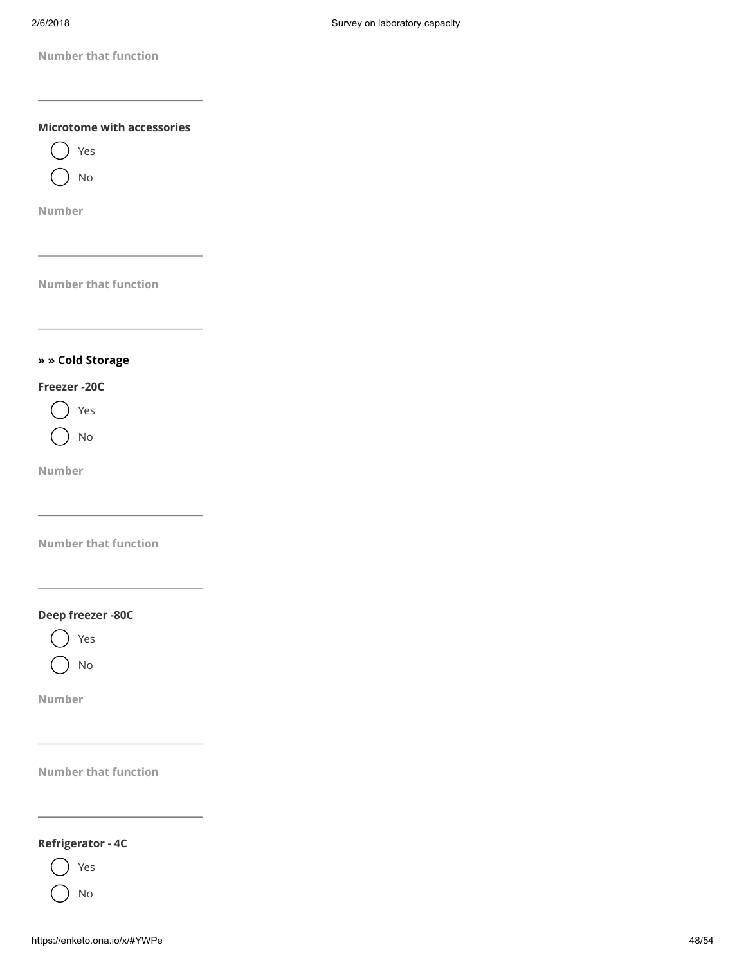

#### Refrigerator - 4C



No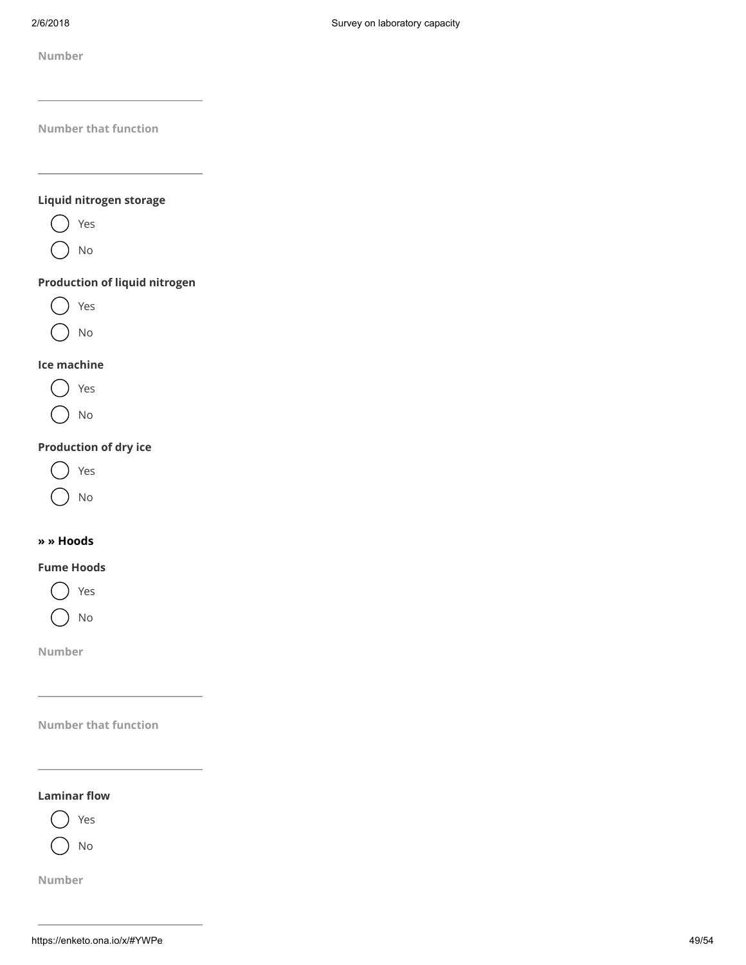## Liquid nitrogen storage



No

## Production of liquid nitrogen

Yes

No

## Ice machine



No

## Production of dry ice



No

#### » » Hoods

#### Fume Hoods



Number

Number that function

#### Laminar flow



Number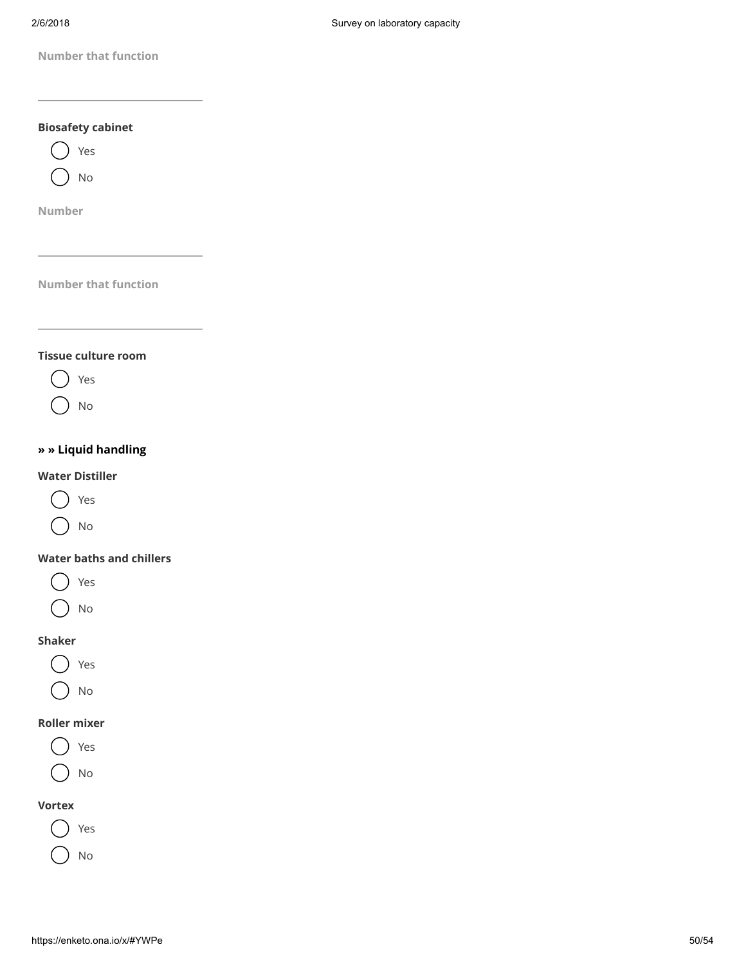

#### Water baths and chillers

- Yes
- No

#### Shaker

- Yes
- No

## Roller mixer



No

#### Vortex



No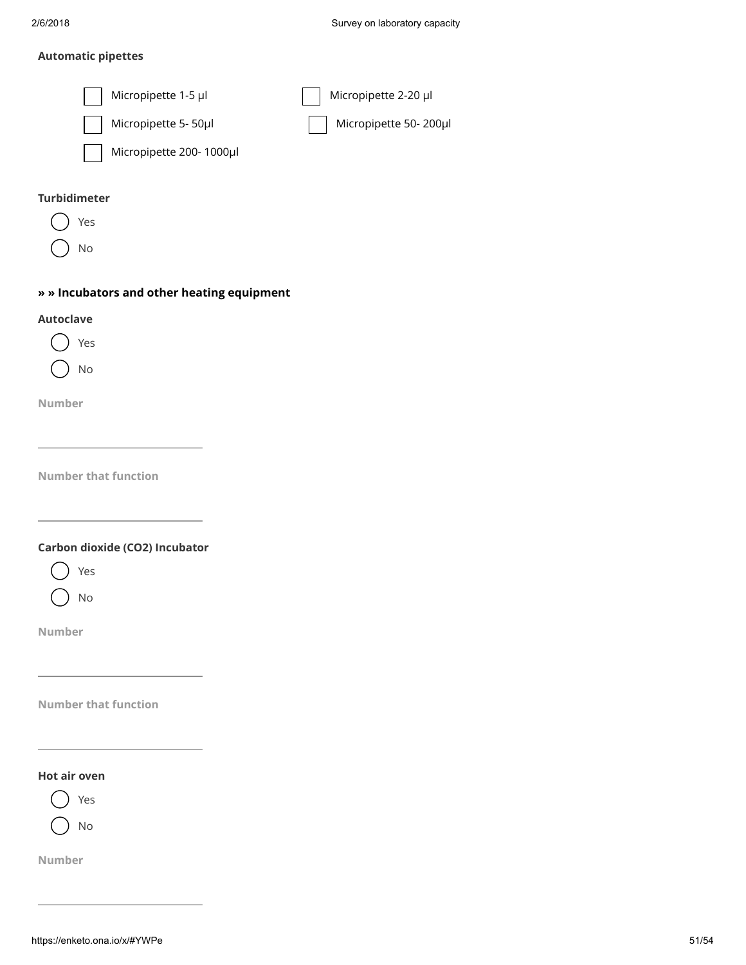#### Automatic pipettes



#### Turbidimeter

Yes

No

#### » » Incubators and other heating equipment

#### Autoclave

Yes No

Number

Number that function

Carbon dioxide (CO2) Incubator



No

Number

Number that function

#### Hot air oven



Number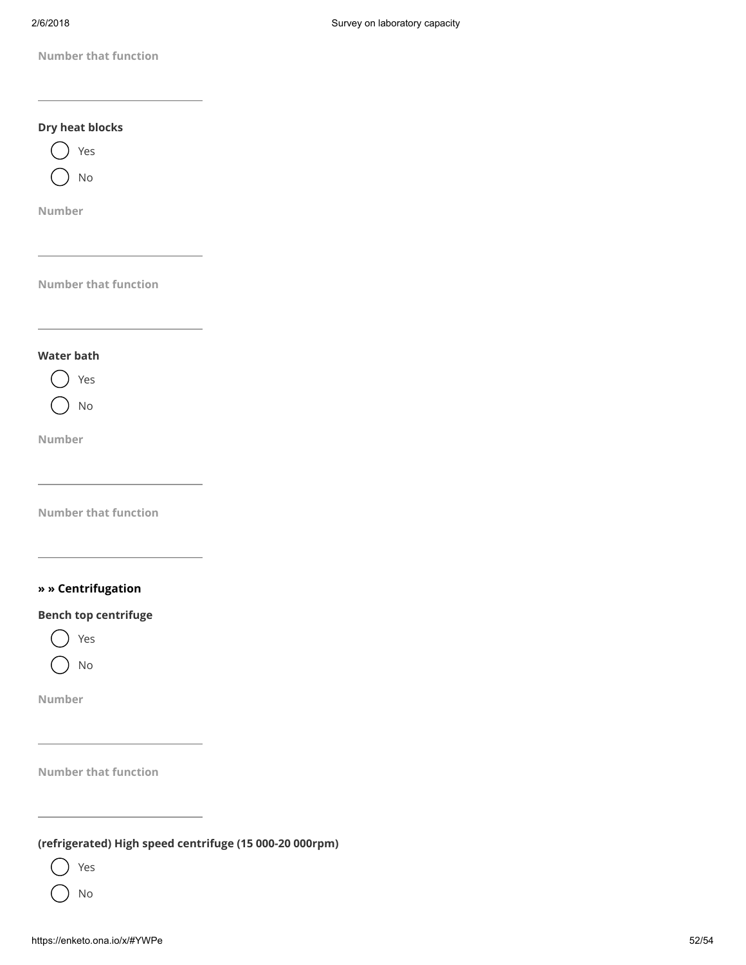

(refrigerated) High speed centrifuge (15 000-20 000rpm)

Yes

No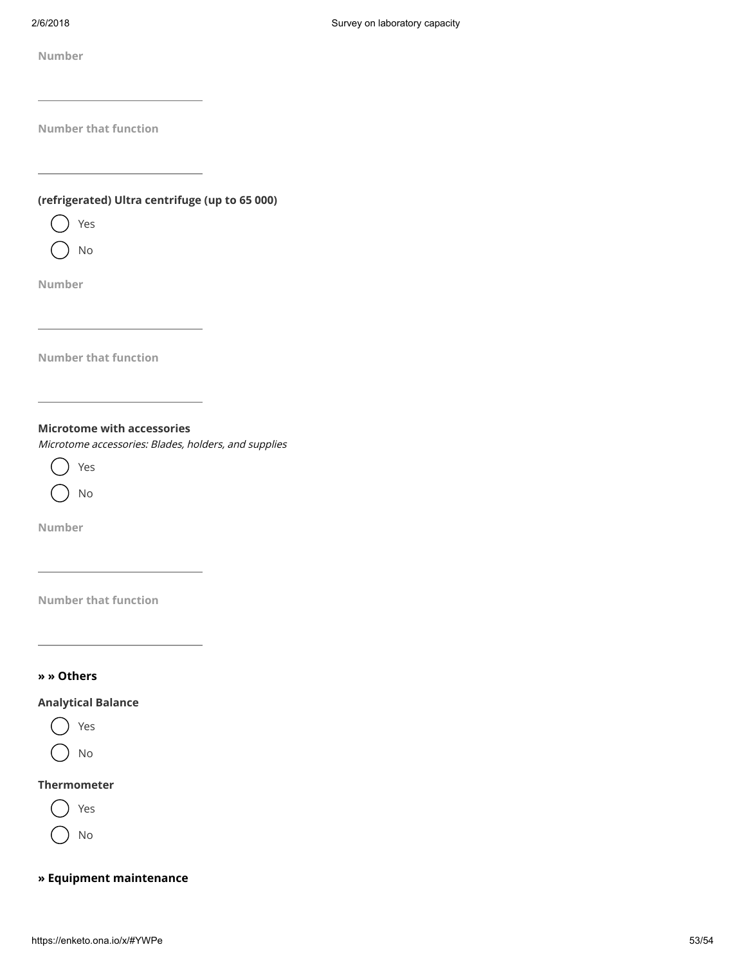Number<br>
https://enketo.org/waterall litter constrings: (up to 45.000)<br>  $\bigcirc$  The Theorem with accessive<br>
Microsofte and the accessive<br>
Microsofte and function<br>
Microsofte and function<br>  $\bigcirc$  The Theorem with accessive<br>  $\$ (refrigerated) Ultra centrifuge (up to 65 000)



No

Number

Number that function

Microtome with accessories

Microtome accessories: Blades, holders, and supplies



Number

Number that function

#### » » Others

#### Analytical Balance



No

#### Thermometer



No

## » Equipment maintenance